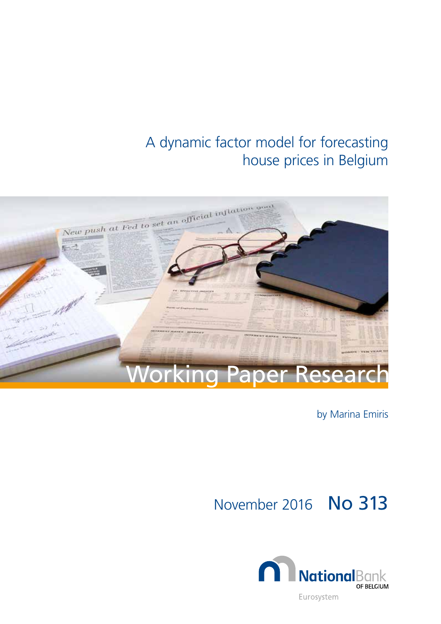# A dynamic factor model for forecasting house prices in Belgium



by Marina Emiris

November 2016 No 313

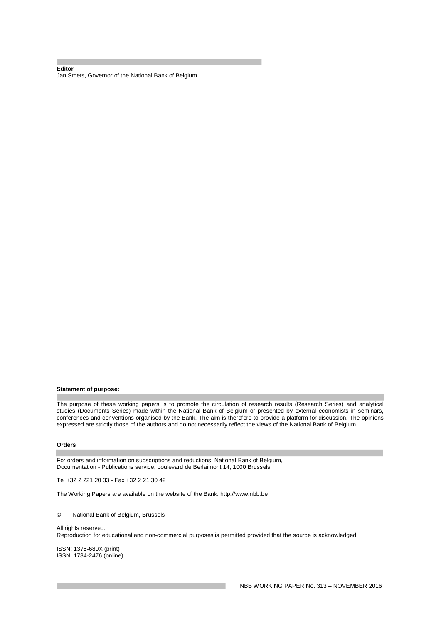#### **Editor**  Jan Smets, Governor of the National Bank of Belgium

#### **Statement of purpose:**

The purpose of these working papers is to promote the circulation of research results (Research Series) and analytical studies (Documents Series) made within the National Bank of Belgium or presented by external economists in seminars, conferences and conventions organised by the Bank. The aim is therefore to provide a platform for discussion. The opinions expressed are strictly those of the authors and do not necessarily reflect the views of the National Bank of Belgium.

#### **Orders**

For orders and information on subscriptions and reductions: National Bank of Belgium, Documentation - Publications service, boulevard de Berlaimont 14, 1000 Brussels

Tel +32 2 221 20 33 - Fax +32 2 21 30 42

The Working Papers are available on the website of the Bank: http://www.nbb.be

© National Bank of Belgium, Brussels

All rights reserved. Reproduction for educational and non-commercial purposes is permitted provided that the source is acknowledged.

ISSN: 1375-680X (print) ISSN: 1784-2476 (online)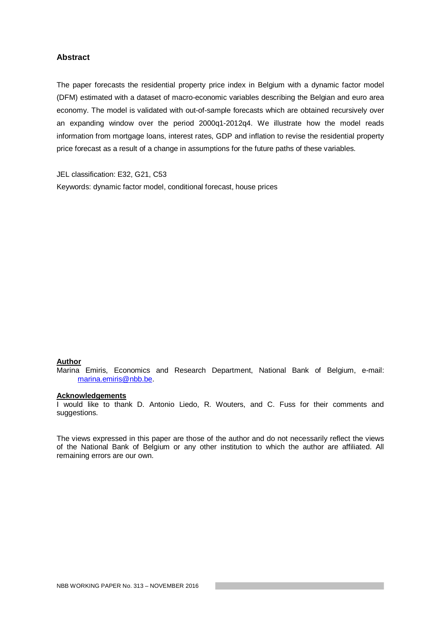### **Abstract**

The paper forecasts the residential property price index in Belgium with a dynamic factor model (DFM) estimated with a dataset of macro-economic variables describing the Belgian and euro area economy. The model is validated with out-of-sample forecasts which are obtained recursively over an expanding window over the period 2000q1-2012q4. We illustrate how the model reads information from mortgage loans, interest rates, GDP and inflation to revise the residential property price forecast as a result of a change in assumptions for the future paths of these variables.

JEL classification: E32, G21, C53 Keywords: dynamic factor model, conditional forecast, house prices

#### **Author**

Marina Emiris, Economics and Research Department, National Bank of Belgium, e-mail: marina.emiris@nbb.be.

### **Acknowledgements**

I would like to thank D. Antonio Liedo, R. Wouters, and C. Fuss for their comments and suggestions.

The views expressed in this paper are those of the author and do not necessarily reflect the views of the National Bank of Belgium or any other institution to which the author are affiliated. All remaining errors are our own.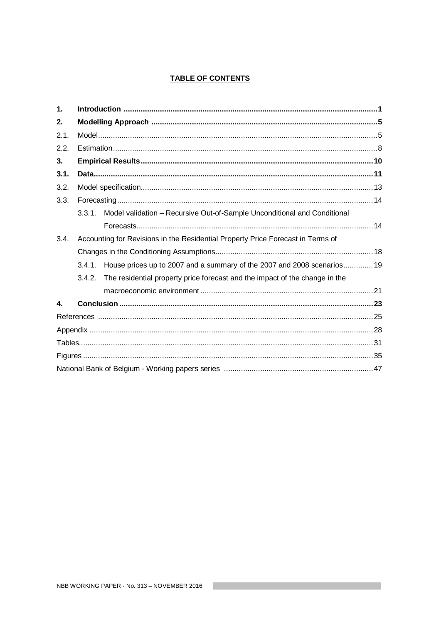# **TABLE OF CONTENTS**

| $\mathbf{1}$ .   |        |                                                                                 |  |
|------------------|--------|---------------------------------------------------------------------------------|--|
| 2.               |        |                                                                                 |  |
| 2.1.             |        |                                                                                 |  |
| 2.2.             |        |                                                                                 |  |
| 3.               |        |                                                                                 |  |
| 3.1.             |        |                                                                                 |  |
| 3.2.             |        |                                                                                 |  |
| 3.3.             |        |                                                                                 |  |
|                  | 3.3.1. | Model validation - Recursive Out-of-Sample Unconditional and Conditional        |  |
|                  |        |                                                                                 |  |
| 3.4.             |        | Accounting for Revisions in the Residential Property Price Forecast in Terms of |  |
|                  |        |                                                                                 |  |
|                  | 3.4.1. | House prices up to 2007 and a summary of the 2007 and 2008 scenarios19          |  |
|                  | 3.4.2. | The residential property price forecast and the impact of the change in the     |  |
|                  |        |                                                                                 |  |
| $\blacktriangle$ |        |                                                                                 |  |
|                  |        |                                                                                 |  |
|                  |        |                                                                                 |  |
|                  |        |                                                                                 |  |
|                  |        |                                                                                 |  |
|                  |        |                                                                                 |  |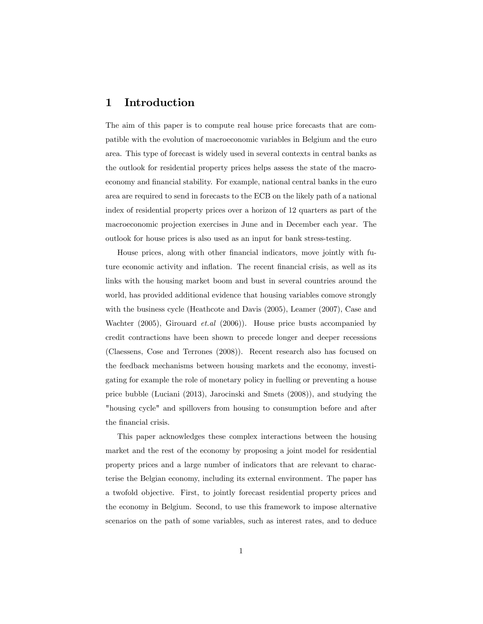# 1 Introduction

The aim of this paper is to compute real house price forecasts that are compatible with the evolution of macroeconomic variables in Belgium and the euro area. This type of forecast is widely used in several contexts in central banks as the outlook for residential property prices helps assess the state of the macroeconomy and financial stability. For example, national central banks in the euro area are required to send in forecasts to the ECB on the likely path of a national index of residential property prices over a horizon of 12 quarters as part of the macroeconomic projection exercises in June and in December each year. The outlook for house prices is also used as an input for bank stress-testing.

House prices, along with other financial indicators, move jointly with future economic activity and inflation. The recent financial crisis, as well as its links with the housing market boom and bust in several countries around the world, has provided additional evidence that housing variables comove strongly with the business cycle (Heathcote and Davis (2005), Leamer (2007), Case and Wachter (2005), Girouard et.al (2006)). House price busts accompanied by credit contractions have been shown to precede longer and deeper recessions (Claessens, Cose and Terrones (2008)). Recent research also has focused on the feedback mechanisms between housing markets and the economy, investigating for example the role of monetary policy in fuelling or preventing a house price bubble (Luciani (2013), Jarocinski and Smets (2008)), and studying the "housing cycle" and spillovers from housing to consumption before and after the financial crisis.

This paper acknowledges these complex interactions between the housing market and the rest of the economy by proposing a joint model for residential property prices and a large number of indicators that are relevant to characterise the Belgian economy, including its external environment. The paper has a twofold objective. First, to jointly forecast residential property prices and the economy in Belgium. Second, to use this framework to impose alternative scenarios on the path of some variables, such as interest rates, and to deduce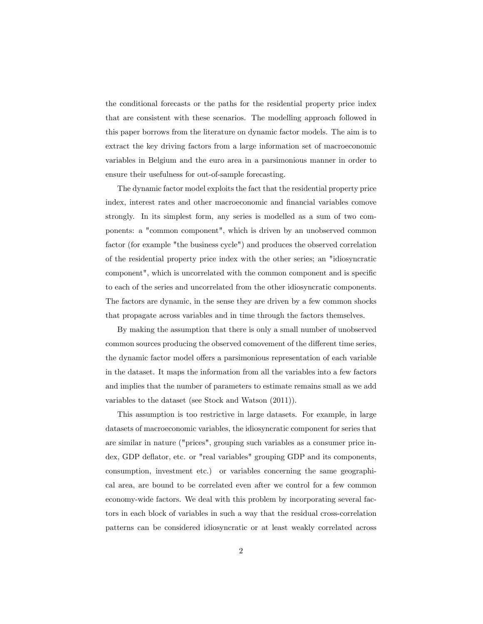the conditional forecasts or the paths for the residential property price index that are consistent with these scenarios. The modelling approach followed in this paper borrows from the literature on dynamic factor models. The aim is to extract the key driving factors from a large information set of macroeconomic variables in Belgium and the euro area in a parsimonious manner in order to ensure their usefulness for out-of-sample forecasting.

The dynamic factor model exploits the fact that the residential property price index, interest rates and other macroeconomic and financial variables comove strongly. In its simplest form, any series is modelled as a sum of two components: a "common component", which is driven by an unobserved common factor (for example "the business cycle") and produces the observed correlation of the residential property price index with the other series; an "idiosyncratic component", which is uncorrelated with the common component and is specific to each of the series and uncorrelated from the other idiosyncratic components. The factors are dynamic, in the sense they are driven by a few common shocks that propagate across variables and in time through the factors themselves.

By making the assumption that there is only a small number of unobserved common sources producing the observed comovement of the different time series, the dynamic factor model offers a parsimonious representation of each variable in the dataset. It maps the information from all the variables into a few factors and implies that the number of parameters to estimate remains small as we add variables to the dataset (see Stock and Watson (2011)).

This assumption is too restrictive in large datasets. For example, in large datasets of macroeconomic variables, the idiosyncratic component for series that are similar in nature ("prices", grouping such variables as a consumer price index, GDP deflator, etc. or "real variables" grouping GDP and its components, consumption, investment etc.) or variables concerning the same geographical area, are bound to be correlated even after we control for a few common economy-wide factors. We deal with this problem by incorporating several factors in each block of variables in such a way that the residual cross-correlation patterns can be considered idiosyncratic or at least weakly correlated across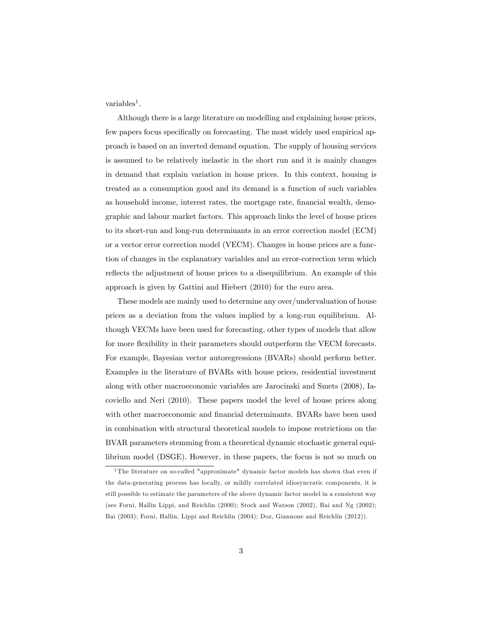variables<sup>1</sup>.

Although there is a large literature on modelling and explaining house prices, few papers focus specifically on forecasting. The most widely used empirical approach is based on an inverted demand equation. The supply of housing services is assumed to be relatively inelastic in the short run and it is mainly changes in demand that explain variation in house prices. In this context, housing is treated as a consumption good and its demand is a function of such variables as household income, interest rates, the mortgage rate, financial wealth, demographic and labour market factors. This approach links the level of house prices to its short-run and long-run determinants in an error correction model (ECM) or a vector error correction model (VECM). Changes in house prices are a function of changes in the explanatory variables and an error-correction term which reflects the adjustment of house prices to a disequilibrium. An example of this approach is given by Gattini and Hiebert (2010) for the euro area.

These models are mainly used to determine any over/undervaluation of house prices as a deviation from the values implied by a long-run equilibrium. Although VECMs have been used for forecasting, other types of models that allow for more flexibility in their parameters should outperform the VECM forecasts. For example, Bayesian vector autoregressions (BVARs) should perform better. Examples in the literature of BVARs with house prices, residential investment along with other macroeconomic variables are Jarocinski and Smets (2008), Iacoviello and Neri (2010). These papers model the level of house prices along with other macroeconomic and financial determinants. BVARs have been used in combination with structural theoretical models to impose restrictions on the BVAR parameters stemming from a theoretical dynamic stochastic general equilibrium model (DSGE). However, in these papers, the focus is not so much on

<sup>1</sup> The literature on so-called "approximate" dynamic factor models has shown that even if the data-generating process has locally, or mildly correlated idiosyncratic components, it is still possible to estimate the parameters of the above dynamic factor model in a consistent way (see Forni, Hallin Lippi, and Reichlin (2000); Stock and Watson (2002), Bai and Ng (2002); Bai (2003); Forni, Hallin, Lippi and Reichlin (2004); Doz, Giannone and Reichlin (2012)).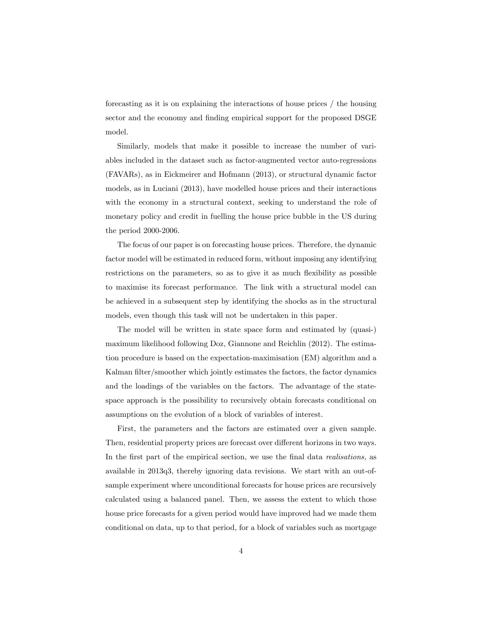forecasting as it is on explaining the interactions of house prices / the housing sector and the economy and finding empirical support for the proposed DSGE model.

Similarly, models that make it possible to increase the number of variables included in the dataset such as factor-augmented vector auto-regressions (FAVARs), as in Eickmeirer and Hofmann (2013), or structural dynamic factor models, as in Luciani (2013), have modelled house prices and their interactions with the economy in a structural context, seeking to understand the role of monetary policy and credit in fuelling the house price bubble in the US during the period 2000-2006.

The focus of our paper is on forecasting house prices. Therefore, the dynamic factor model will be estimated in reduced form, without imposing any identifying restrictions on the parameters, so as to give it as much flexibility as possible to maximise its forecast performance. The link with a structural model can be achieved in a subsequent step by identifying the shocks as in the structural models, even though this task will not be undertaken in this paper.

The model will be written in state space form and estimated by (quasi-) maximum likelihood following Doz, Giannone and Reichlin (2012). The estimation procedure is based on the expectation-maximisation (EM) algorithm and a Kalman filter/smoother which jointly estimates the factors, the factor dynamics and the loadings of the variables on the factors. The advantage of the statespace approach is the possibility to recursively obtain forecasts conditional on assumptions on the evolution of a block of variables of interest.

First, the parameters and the factors are estimated over a given sample. Then, residential property prices are forecast over different horizons in two ways. In the first part of the empirical section, we use the final data realisations, as available in 2013q3, thereby ignoring data revisions. We start with an out-ofsample experiment where unconditional forecasts for house prices are recursively calculated using a balanced panel. Then, we assess the extent to which those house price forecasts for a given period would have improved had we made them conditional on data, up to that period, for a block of variables such as mortgage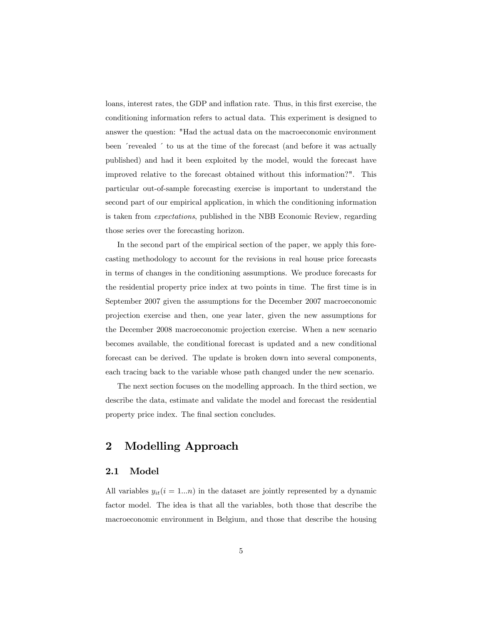loans, interest rates, the GDP and inflation rate. Thus, in this first exercise, the conditioning information refers to actual data. This experiment is designed to answer the question: "Had the actual data on the macroeconomic environment been 'revealed ' to us at the time of the forecast (and before it was actually published) and had it been exploited by the model, would the forecast have improved relative to the forecast obtained without this information?". This particular out-of-sample forecasting exercise is important to understand the second part of our empirical application, in which the conditioning information is taken from expectations, published in the NBB Economic Review, regarding those series over the forecasting horizon.

In the second part of the empirical section of the paper, we apply this forecasting methodology to account for the revisions in real house price forecasts in terms of changes in the conditioning assumptions. We produce forecasts for the residential property price index at two points in time. The first time is in September 2007 given the assumptions for the December 2007 macroeconomic projection exercise and then, one year later, given the new assumptions for the December 2008 macroeconomic projection exercise. When a new scenario becomes available, the conditional forecast is updated and a new conditional forecast can be derived. The update is broken down into several components, each tracing back to the variable whose path changed under the new scenario.

The next section focuses on the modelling approach. In the third section, we describe the data, estimate and validate the model and forecast the residential property price index. The final section concludes.

# 2 Modelling Approach

#### 2.1 Model

All variables  $y_{it}(i = 1...n)$  in the dataset are jointly represented by a dynamic factor model. The idea is that all the variables, both those that describe the macroeconomic environment in Belgium, and those that describe the housing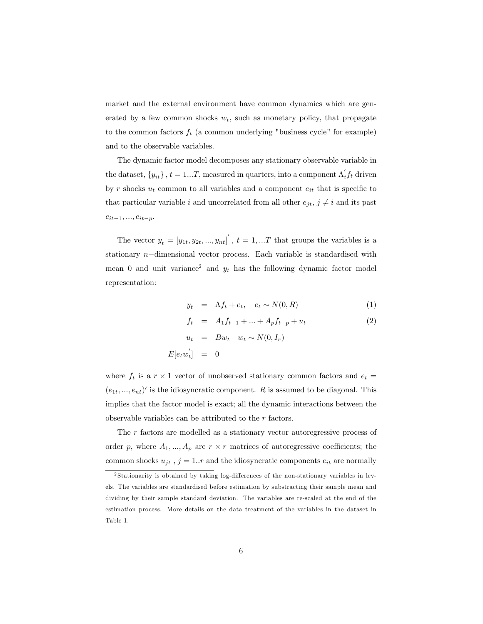market and the external environment have common dynamics which are generated by a few common shocks  $w_t$ , such as monetary policy, that propagate to the common factors  $f_t$  (a common underlying "business cycle" for example) and to the observable variables.

The dynamic factor model decomposes any stationary observable variable in the dataset,  $\{y_{it}\}\$ ,  $t = 1...T$ , measured in quarters, into a component  $\Lambda'_i f_t$  driven by r shocks  $u_t$  common to all variables and a component  $e_{it}$  that is specific to that particular variable i and uncorrelated from all other  $e_{jt}$ ,  $j \neq i$  and its past  $e_{it-1}, ..., e_{it-p}.$ 

The vector  $y_t = [y_{1t}, y_{2t}, ..., y_{nt}]$ ,  $t = 1, ...T$  that groups the variables is a stationary  $n$ -dimensional vector process. Each variable is standardised with mean 0 and unit variance<sup>2</sup> and  $y_t$  has the following dynamic factor model representation:

$$
y_t = \Lambda f_t + e_t, \quad e_t \sim N(0, R) \tag{1}
$$

$$
f_t = A_1 f_{t-1} + \dots + A_p f_{t-p} + u_t \tag{2}
$$

$$
u_t = Bw_t \quad w_t \sim N(0, I_r)
$$

$$
E[e_t w'_t] = 0
$$

where  $f_t$  is a  $r \times 1$  vector of unobserved stationary common factors and  $e_t =$  $(e_{1t},...,e_{nt})'$  is the idiosyncratic component. R is assumed to be diagonal. This implies that the factor model is exact; all the dynamic interactions between the observable variables can be attributed to the r factors.

The r factors are modelled as a stationary vector autoregressive process of order p, where  $A_1, ..., A_p$  are  $r \times r$  matrices of autoregressive coefficients; the common shocks  $u_{jt}$ ,  $j = 1..r$  and the idiosyncratic components  $e_{it}$  are normally

 $2$ Stationarity is obtained by taking log-differences of the non-stationary variables in levels. The variables are standardised before estimation by substracting their sample mean and dividing by their sample standard deviation. The variables are re-scaled at the end of the estimation process. More details on the data treatment of the variables in the dataset in Table 1.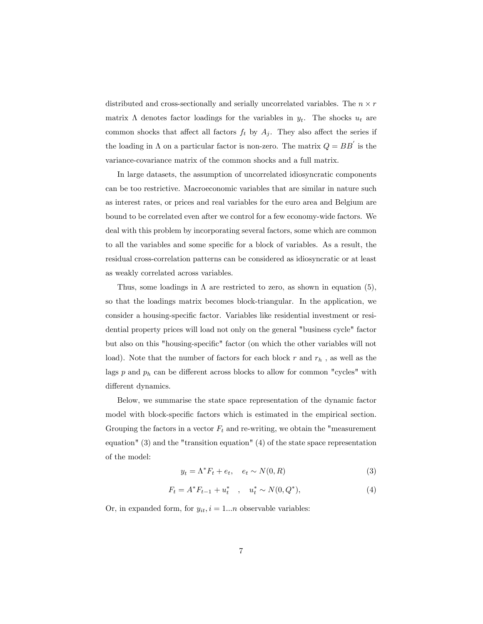distributed and cross-sectionally and serially uncorrelated variables. The  $n \times r$ matrix  $\Lambda$  denotes factor loadings for the variables in  $y_t$ . The shocks  $u_t$  are common shocks that affect all factors  $f_t$  by  $A_j$ . They also affect the series if the loading in  $\Lambda$  on a particular factor is non-zero. The matrix  $Q = BB'$  is the variance-covariance matrix of the common shocks and a full matrix.

In large datasets, the assumption of uncorrelated idiosyncratic components can be too restrictive. Macroeconomic variables that are similar in nature such as interest rates, or prices and real variables for the euro area and Belgium are bound to be correlated even after we control for a few economy-wide factors. We deal with this problem by incorporating several factors, some which are common to all the variables and some specific for a block of variables. As a result, the residual cross-correlation patterns can be considered as idiosyncratic or at least as weakly correlated across variables.

Thus, some loadings in  $\Lambda$  are restricted to zero, as shown in equation (5), so that the loadings matrix becomes block-triangular. In the application, we consider a housing-specific factor. Variables like residential investment or residential property prices will load not only on the general "business cycle" factor but also on this "housing-specific" factor (on which the other variables will not load). Note that the number of factors for each block  $r$  and  $r_h$ , as well as the lags  $p$  and  $p_h$  can be different across blocks to allow for common "cycles" with different dynamics.

Below, we summarise the state space representation of the dynamic factor model with block-specific factors which is estimated in the empirical section. Grouping the factors in a vector  $F_t$  and re-writing, we obtain the "measurement" equation" (3) and the "transition equation" (4) of the state space representation of the model:

$$
y_t = \Lambda^* F_t + e_t, \quad e_t \sim N(0, R) \tag{3}
$$

$$
F_t = A^* F_{t-1} + u_t^* \quad , \quad u_t^* \sim N(0, Q^*), \tag{4}
$$

Or, in expanded form, for  $y_{it}$ ,  $i = 1...n$  observable variables: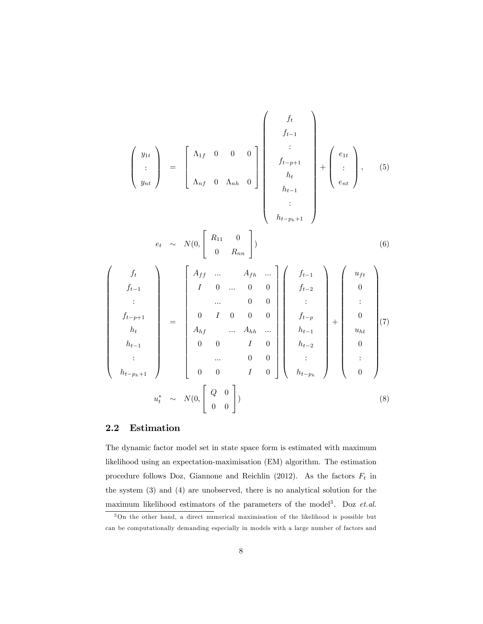$$
\begin{pmatrix}\ny_{1t} \\
\vdots \\
y_{nt}\n\end{pmatrix} = \begin{bmatrix}\n\Lambda_{1f} & 0 & 0 & 0 \\
\Lambda_{1f} & 0 & \Lambda_{nh} & 0\n\end{bmatrix} \begin{bmatrix}\nf_{t} \\
f_{t-1} \\
h_{t} \\
h_{t} \\
h_{t-1}\n\end{bmatrix} + \begin{bmatrix}\ne_{1t} \\
\vdots \\
e_{nt}\n\end{bmatrix}, \quad (5)
$$
\n
$$
e_{t} \sim N(0, \begin{bmatrix}\nR_{11} & 0 \\
0 & R_{nn}\n\end{bmatrix})
$$
\n
$$
\begin{pmatrix}\nf_{t} \\
f_{t-1} \\
\vdots \\
f_{t-1} \\
h_{t}\n\end{pmatrix} = \begin{bmatrix}\nA_{ff} & \dots & A_{fh} & \dots \\
I & 0 & \dots & 0 & 0 \\
0 & I & 0 & 0 & 0 \\
\vdots & \dots & 0 & 0 & 0 \\
A_{hf} & \dots & A_{hh} & \dots \\
0 & 0 & I & 0 & 0 \\
\vdots & \dots & 0 & 0 & 0 \\
0 & 0 & I & 0 & 0 \\
\vdots & \dots & 0 & 0 & 0 \\
0 & 0 & I & 0 & 0 \\
\vdots & \dots & 0 & 0 & 0 \\
0 & 0 & I & 0 & 0\n\end{pmatrix} \begin{pmatrix}\nf_{t-1} \\
f_{t-2} \\
f_{t-2} \\
h_{t-1} \\
h_{t-2} \\
h_{t-2} \\
\vdots \\
h_{t-p_{h}}\n\end{pmatrix} + \begin{pmatrix}\nu_{ff} \\
u_{ft} \\
\vdots \\
u_{ht} \\
u_{ht} \\
0 \\
0 \\
\vdots \\
0\n\end{pmatrix} (7)
$$
\n
$$
u_{t}^{*} \sim N(0, \begin{bmatrix} Q & 0 \\ 0 \\ 0 \\ 0 \end{bmatrix})
$$
\n
$$
(8)
$$

#### 2.2 Estimation

The dynamic factor model set in state space form is estimated with maximum likelihood using an expectation-maximisation (EM) algorithm. The estimation procedure follows Doz, Giannone and Reichlin (2012). As the factors  $F_t$  in the system (3) and (4) are unobserved, there is no analytical solution for the maximum likelihood estimators of the parameters of the model<sup>3</sup>. Doz et.al.

<sup>3</sup>On the other hand, a direct numerical maximisation of the likelihood is possible but can be computationally demanding especially in models with a large number of factors and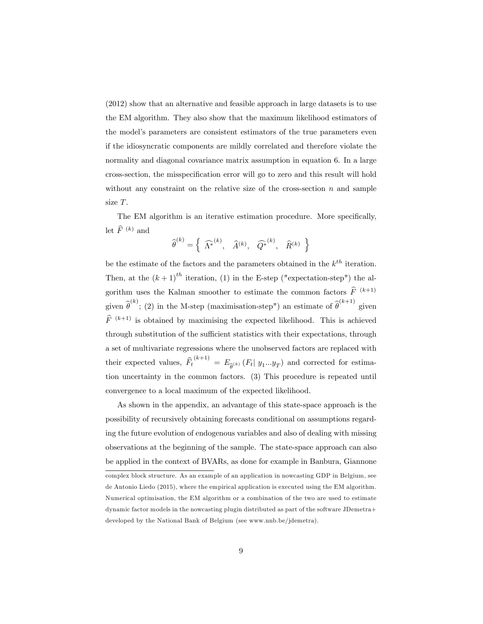(2012) show that an alternative and feasible approach in large datasets is to use the EM algorithm. They also show that the maximum likelihood estimators of the modelís parameters are consistent estimators of the true parameters even if the idiosyncratic components are mildly correlated and therefore violate the normality and diagonal covariance matrix assumption in equation 6. In a large cross-section, the misspeciÖcation error will go to zero and this result will hold without any constraint on the relative size of the cross-section  $n$  and sample size T.

The EM algorithm is an iterative estimation procedure. More specifically, let  $\widehat{F}^{(k)}$  and

$$
\widehat{\boldsymbol{\theta}}^{(k)} = \left\{ \begin{array}{ccc} \widehat{\boldsymbol{\Lambda}^*}^{(k)}, & \widehat{\boldsymbol{A}}^{(k)}, & \widehat{\boldsymbol{Q}^*}^{(k)}, & \widehat{\boldsymbol{R}}^{(k)} \end{array} \right\}
$$

be the estimate of the factors and the parameters obtained in the  $k^{th}$  iteration. Then, at the  $(k+1)^{th}$  iteration, (1) in the E-step ("expectation-step") the algorithm uses the Kalman smoother to estimate the common factors  $\hat{F}^{(k+1)}$ given  $\hat{\theta}^{(k)}$ ; (2) in the M-step (maximisation-step") an estimate of  $\hat{\theta}^{(k+1)}$  given  $\widehat{F}^{(k+1)}$  is obtained by maximising the expected likelihood. This is achieved through substitution of the sufficient statistics with their expectations, through a set of multivariate regressions where the unobserved factors are replaced with their expected values,  $\hat{F}_t^{(k+1)} = E_{\hat{\theta}^{(k)}}(F_t | y_1...y_T)$  and corrected for estimation uncertainty in the common factors. (3) This procedure is repeated until convergence to a local maximum of the expected likelihood.

As shown in the appendix, an advantage of this state-space approach is the possibility of recursively obtaining forecasts conditional on assumptions regarding the future evolution of endogenous variables and also of dealing with missing observations at the beginning of the sample. The state-space approach can also be applied in the context of BVARs, as done for example in Banbura, Giannone

complex block structure. As an example of an application in nowcasting GDP in Belgium, see de Antonio Liedo (2015), where the empirical application is executed using the EM algorithm. Numerical optimisation, the EM algorithm or a combination of the two are used to estimate dynamic factor models in the nowcasting plugin distributed as part of the software JDemetra+ developed by the National Bank of Belgium (see www.nnb.be/jdemetra).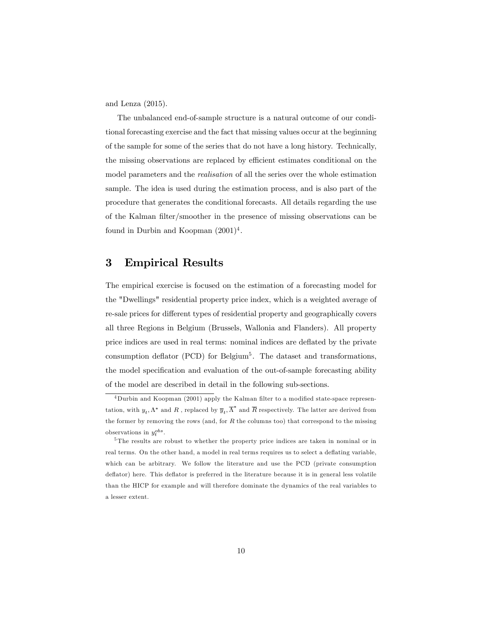and Lenza (2015).

The unbalanced end-of-sample structure is a natural outcome of our conditional forecasting exercise and the fact that missing values occur at the beginning of the sample for some of the series that do not have a long history. Technically, the missing observations are replaced by efficient estimates conditional on the model parameters and the realisation of all the series over the whole estimation sample. The idea is used during the estimation process, and is also part of the procedure that generates the conditional forecasts. All details regarding the use of the Kalman filter/smoother in the presence of missing observations can be found in Durbin and Koopman  $(2001)^4$ .

# 3 Empirical Results

The empirical exercise is focused on the estimation of a forecasting model for the "Dwellings" residential property price index, which is a weighted average of re-sale prices for different types of residential property and geographically covers all three Regions in Belgium (Brussels, Wallonia and Flanders). All property price indices are used in real terms: nominal indices are deflated by the private consumption deflator (PCD) for Belgium<sup>5</sup>. The dataset and transformations, the model specification and evaluation of the out-of-sample forecasting ability of the model are described in detail in the following sub-sections.

<sup>&</sup>lt;sup>4</sup>Durbin and Koopman (2001) apply the Kalman filter to a modified state-space representation, with  $y_t, \Lambda^*$  and  $R$ , replaced by  $\overline{y}_t, \overline{\Lambda}^*$  and  $\overline{R}$  respectively. The latter are derived from the former by removing the rows (and, for  $R$  the columns too) that correspond to the missing observations in  $y_t^{obs}$ .

<sup>5</sup> The results are robust to whether the property price indices are taken in nominal or in real terms. On the other hand, a model in real terms requires us to select a deflating variable, which can be arbitrary. We follow the literature and use the PCD (private consumption deflator) here. This deflator is preferred in the literature because it is in general less volatile than the HICP for example and will therefore dominate the dynamics of the real variables to a lesser extent.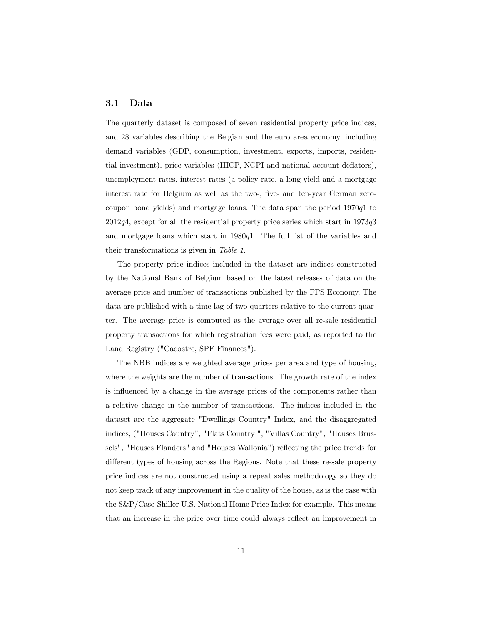#### 3.1 Data

The quarterly dataset is composed of seven residential property price indices, and 28 variables describing the Belgian and the euro area economy, including demand variables (GDP, consumption, investment, exports, imports, residential investment), price variables (HICP, NCPI and national account deflators), unemployment rates, interest rates (a policy rate, a long yield and a mortgage interest rate for Belgium as well as the two-, five- and ten-year German zerocoupon bond yields) and mortgage loans. The data span the period 1970q1 to  $2012q4$ , except for all the residential property price series which start in  $1973q3$ and mortgage loans which start in 1980q1. The full list of the variables and their transformations is given in Table 1.

The property price indices included in the dataset are indices constructed by the National Bank of Belgium based on the latest releases of data on the average price and number of transactions published by the FPS Economy. The data are published with a time lag of two quarters relative to the current quarter. The average price is computed as the average over all re-sale residential property transactions for which registration fees were paid, as reported to the Land Registry ("Cadastre, SPF Finances").

The NBB indices are weighted average prices per area and type of housing, where the weights are the number of transactions. The growth rate of the index is influenced by a change in the average prices of the components rather than a relative change in the number of transactions. The indices included in the dataset are the aggregate "Dwellings Country" Index, and the disaggregated indices, ("Houses Country", "Flats Country ", "Villas Country", "Houses Brussels", "Houses Flanders" and "Houses Wallonia") reflecting the price trends for different types of housing across the Regions. Note that these re-sale property price indices are not constructed using a repeat sales methodology so they do not keep track of any improvement in the quality of the house, as is the case with the S&P/Case-Shiller U.S. National Home Price Index for example. This means that an increase in the price over time could always reflect an improvement in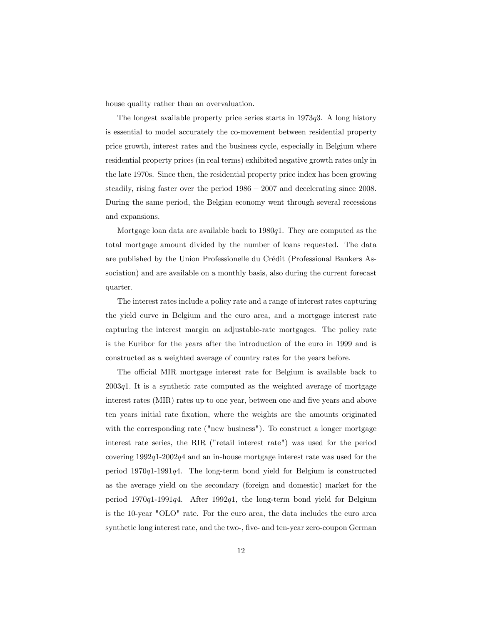house quality rather than an overvaluation.

The longest available property price series starts in  $1973q3$ . A long history is essential to model accurately the co-movement between residential property price growth, interest rates and the business cycle, especially in Belgium where residential property prices (in real terms) exhibited negative growth rates only in the late 1970s. Since then, the residential property price index has been growing steadily, rising faster over the period  $1986 - 2007$  and decelerating since 2008. During the same period, the Belgian economy went through several recessions and expansions.

Mortgage loan data are available back to  $1980q1$ . They are computed as the total mortgage amount divided by the number of loans requested. The data are published by the Union Professionelle du Crédit (Professional Bankers Association) and are available on a monthly basis, also during the current forecast quarter.

The interest rates include a policy rate and a range of interest rates capturing the yield curve in Belgium and the euro area, and a mortgage interest rate capturing the interest margin on adjustable-rate mortgages. The policy rate is the Euribor for the years after the introduction of the euro in 1999 and is constructed as a weighted average of country rates for the years before.

The official MIR mortgage interest rate for Belgium is available back to  $2003q1$ . It is a synthetic rate computed as the weighted average of mortgage interest rates (MIR) rates up to one year, between one and five years and above ten years initial rate Öxation, where the weights are the amounts originated with the corresponding rate ("new business"). To construct a longer mortgage interest rate series, the RIR ("retail interest rate") was used for the period covering 1992q1-2002q4 and an in-house mortgage interest rate was used for the period 1970q1-1991q4. The long-term bond yield for Belgium is constructed as the average yield on the secondary (foreign and domestic) market for the period  $1970q1-1991q4$ . After 1992q1, the long-term bond yield for Belgium is the 10-year "OLO" rate. For the euro area, the data includes the euro area synthetic long interest rate, and the two-, five- and ten-year zero-coupon German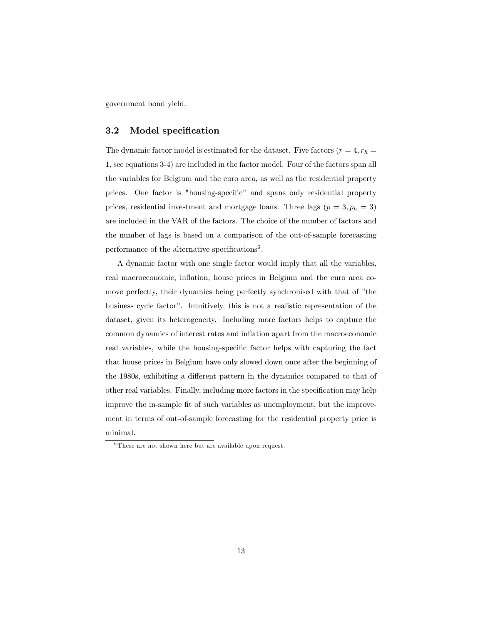government bond yield.

#### 3.2 Model specification

The dynamic factor model is estimated for the dataset. Five factors  $(r = 4, r_h =$ 1, see equations 3-4) are included in the factor model. Four of the factors span all the variables for Belgium and the euro area, as well as the residential property prices. One factor is "housing-specific" and spans only residential property prices, residential investment and mortgage loans. Three lags  $(p = 3, p_h = 3)$ are included in the VAR of the factors. The choice of the number of factors and the number of lags is based on a comparison of the out-of-sample forecasting performance of the alternative specifications<sup>6</sup>.

A dynamic factor with one single factor would imply that all the variables, real macroeconomic, inflation, house prices in Belgium and the euro area comove perfectly, their dynamics being perfectly synchronised with that of "the business cycle factor". Intuitively, this is not a realistic representation of the dataset, given its heterogeneity. Including more factors helps to capture the common dynamics of interest rates and inflation apart from the macroeconomic real variables, while the housing-specific factor helps with capturing the fact that house prices in Belgium have only slowed down once after the beginning of the 1980s, exhibiting a different pattern in the dynamics compared to that of other real variables. Finally, including more factors in the specification may help improve the in-sample Öt of such variables as unemployment, but the improvement in terms of out-of-sample forecasting for the residential property price is minimal.

<sup>6</sup> These are not shown here but are available upon request.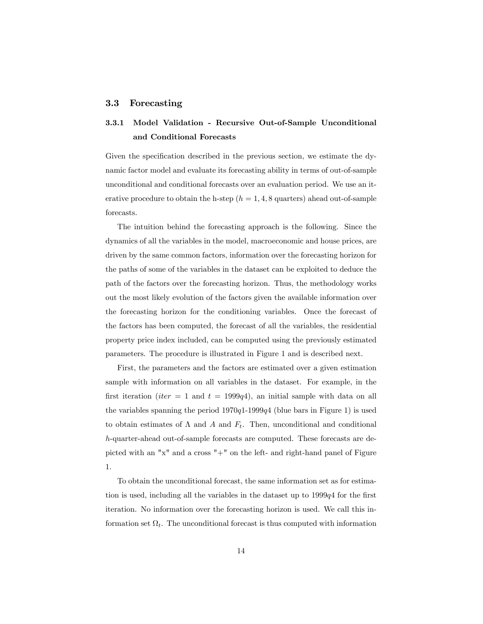#### 3.3 Forecasting

# 3.3.1 Model Validation - Recursive Out-of-Sample Unconditional and Conditional Forecasts

Given the specification described in the previous section, we estimate the dynamic factor model and evaluate its forecasting ability in terms of out-of-sample unconditional and conditional forecasts over an evaluation period. We use an iterative procedure to obtain the h-step  $(h = 1, 4, 8 \text{ quarters})$  ahead out-of-sample forecasts.

The intuition behind the forecasting approach is the following. Since the dynamics of all the variables in the model, macroeconomic and house prices, are driven by the same common factors, information over the forecasting horizon for the paths of some of the variables in the dataset can be exploited to deduce the path of the factors over the forecasting horizon. Thus, the methodology works out the most likely evolution of the factors given the available information over the forecasting horizon for the conditioning variables. Once the forecast of the factors has been computed, the forecast of all the variables, the residential property price index included, can be computed using the previously estimated parameters. The procedure is illustrated in Figure 1 and is described next.

First, the parameters and the factors are estimated over a given estimation sample with information on all variables in the dataset. For example, in the first iteration (*iter* = 1 and  $t = 1999q4$ ), an initial sample with data on all the variables spanning the period  $1970q1-1999q4$  (blue bars in Figure 1) is used to obtain estimates of  $\Lambda$  and  $A$  and  $F_t$ . Then, unconditional and conditional h-quarter-ahead out-of-sample forecasts are computed. These forecasts are depicted with an " $x$ " and a cross " $+$ " on the left- and right-hand panel of Figure 1.

To obtain the unconditional forecast, the same information set as for estimation is used, including all the variables in the dataset up to  $1999q4$  for the first iteration. No information over the forecasting horizon is used. We call this information set  $\Omega_t$ . The unconditional forecast is thus computed with information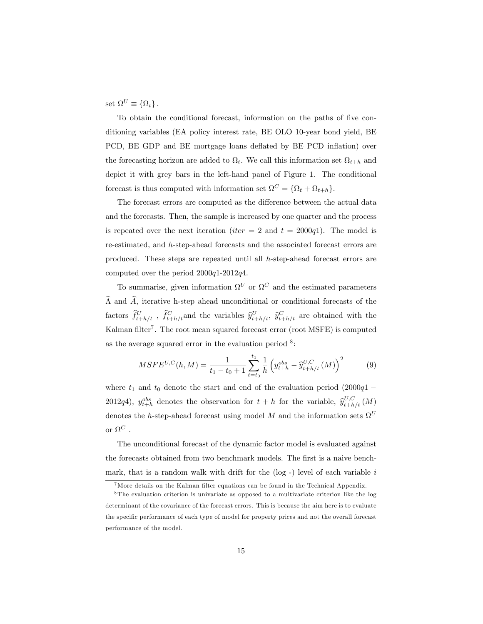set  $\Omega^U \equiv \{\Omega_t\}.$ 

To obtain the conditional forecast, information on the paths of Öve conditioning variables (EA policy interest rate, BE OLO 10-year bond yield, BE PCD, BE GDP and BE mortgage loans deflated by BE PCD inflation) over the forecasting horizon are added to  $\Omega_t$ . We call this information set  $\Omega_{t+h}$  and depict it with grey bars in the left-hand panel of Figure 1. The conditional forecast is thus computed with information set  $\Omega^C = {\Omega_t + \Omega_{t+h}}.$ 

The forecast errors are computed as the difference between the actual data and the forecasts. Then, the sample is increased by one quarter and the process is repeated over the next iteration (*iter* = 2 and  $t = 2000q1$ ). The model is re-estimated, and h-step-ahead forecasts and the associated forecast errors are produced. These steps are repeated until all h-step-ahead forecast errors are computed over the period 2000q1-2012q4.

To summarise, given information  $\Omega^U$  or  $\Omega^C$  and the estimated parameters  $\widehat{\Lambda}$  and  $\widehat{A}$ , iterative h-step ahead unconditional or conditional forecasts of the factors  $\hat{f}_{t+h/t}^U$ ,  $\hat{f}_{t+h/t}^C$  and the variables  $\hat{y}_{t+h/t}^U$ ,  $\hat{y}_{t+h/t}^C$  are obtained with the Kalman filter<sup>7</sup>. The root mean squared forecast error (root MSFE) is computed as the average squared error in the evaluation period  $8$ :

$$
MSFE^{U,C}(h,M) = \frac{1}{t_1 - t_0 + 1} \sum_{t=t_0}^{t_1} \frac{1}{h} \left( y_{t+h}^{obs} - \hat{y}_{t+h/t}^{U,C}(M) \right)^2 \tag{9}
$$

where  $t_1$  and  $t_0$  denote the start and end of the evaluation period  $(2000q1 -$ 2012q4),  $y_{t+h}^{obs}$  denotes the observation for  $t + h$  for the variable,  $\hat{y}_{t+h/t}^{U,C}(M)$ denotes the h-step-ahead forecast using model M and the information sets  $\Omega^U$ or  $\Omega^C$  .

The unconditional forecast of the dynamic factor model is evaluated against the forecasts obtained from two benchmark models. The first is a naive benchmark, that is a random walk with drift for the  $(\log -)$  level of each variable i

<sup>&</sup>lt;sup>7</sup>More details on the Kalman filter equations can be found in the Technical Appendix.

<sup>8</sup> The evaluation criterion is univariate as opposed to a multivariate criterion like the log determinant of the covariance of the forecast errors. This is because the aim here is to evaluate the specific performance of each type of model for property prices and not the overall forecast performance of the model.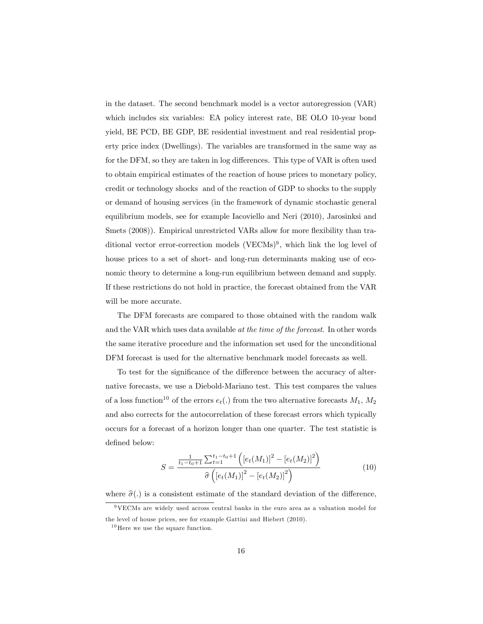in the dataset. The second benchmark model is a vector autoregression (VAR) which includes six variables: EA policy interest rate, BE OLO 10-year bond yield, BE PCD, BE GDP, BE residential investment and real residential property price index (Dwellings). The variables are transformed in the same way as for the DFM, so they are taken in log differences. This type of VAR is often used to obtain empirical estimates of the reaction of house prices to monetary policy, credit or technology shocks and of the reaction of GDP to shocks to the supply or demand of housing services (in the framework of dynamic stochastic general equilibrium models, see for example Iacoviello and Neri (2010), Jarosinksi and Smets (2008)). Empirical unrestricted VARs allow for more flexibility than traditional vector error-correction models  $(VECMs)^9$ , which link the log level of house prices to a set of short- and long-run determinants making use of economic theory to determine a long-run equilibrium between demand and supply. If these restrictions do not hold in practice, the forecast obtained from the VAR will be more accurate.

The DFM forecasts are compared to those obtained with the random walk and the VAR which uses data available at the time of the forecast. In other words the same iterative procedure and the information set used for the unconditional DFM forecast is used for the alternative benchmark model forecasts as well.

To test for the significance of the difference between the accuracy of alternative forecasts, we use a Diebold-Mariano test. This test compares the values of a loss function<sup>10</sup> of the errors  $e_t(.)$  from the two alternative forecasts  $M_1, M_2$ and also corrects for the autocorrelation of these forecast errors which typically occurs for a forecast of a horizon longer than one quarter. The test statistic is defined below:

$$
S = \frac{\frac{1}{t_1 - t_0 + 1} \sum_{t=1}^{t_1 - t_0 + 1} \left( \left[ e_t(M_1) \right]^2 - \left[ e_t(M_2) \right]^2 \right)}{\widehat{\sigma} \left( \left[ e_t(M_1) \right]^2 - \left[ e_t(M_2) \right]^2 \right)}
$$
(10)

where  $\hat{\sigma}(.)$  is a consistent estimate of the standard deviation of the difference,

<sup>9</sup>VECMs are widely used across central banks in the euro area as a valuation model for the level of house prices, see for example Gattini and Hiebert (2010).

 $^{10}\mathrm{Here}$  we use the square function.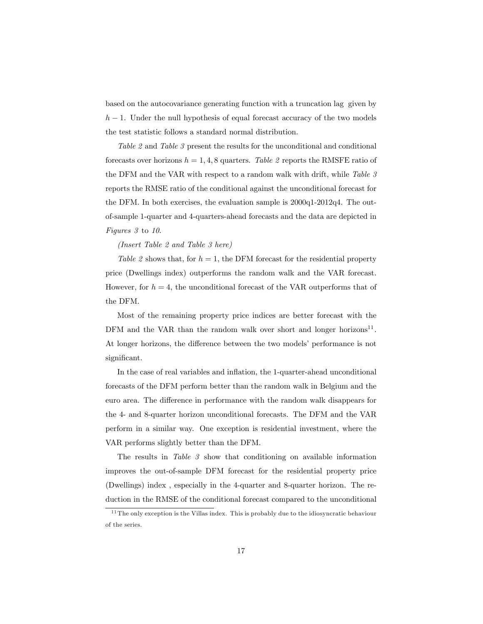based on the autocovariance generating function with a truncation lag given by  $h-1$ . Under the null hypothesis of equal forecast accuracy of the two models the test statistic follows a standard normal distribution.

Table 2 and Table 3 present the results for the unconditional and conditional forecasts over horizons  $h = 1, 4, 8$  quarters. Table 2 reports the RMSFE ratio of the DFM and the VAR with respect to a random walk with drift, while Table 3 reports the RMSE ratio of the conditional against the unconditional forecast for the DFM. In both exercises, the evaluation sample is 2000q1-2012q4. The outof-sample 1-quarter and 4-quarters-ahead forecasts and the data are depicted in Figures 3 to 10.

(Insert Table 2 and Table 3 here)

Table 2 shows that, for  $h = 1$ , the DFM forecast for the residential property price (Dwellings index) outperforms the random walk and the VAR forecast. However, for  $h = 4$ , the unconditional forecast of the VAR outperforms that of the DFM.

Most of the remaining property price indices are better forecast with the DFM and the VAR than the random walk over short and longer horizons<sup>11</sup>. At longer horizons, the difference between the two models' performance is not significant.

In the case of real variables and inflation, the 1-quarter-ahead unconditional forecasts of the DFM perform better than the random walk in Belgium and the euro area. The difference in performance with the random walk disappears for the 4- and 8-quarter horizon unconditional forecasts. The DFM and the VAR perform in a similar way. One exception is residential investment, where the VAR performs slightly better than the DFM.

The results in Table 3 show that conditioning on available information improves the out-of-sample DFM forecast for the residential property price (Dwellings) index , especially in the 4-quarter and 8-quarter horizon. The reduction in the RMSE of the conditional forecast compared to the unconditional

 $11$  The only exception is the Villas index. This is probably due to the idiosyncratic behaviour of the series.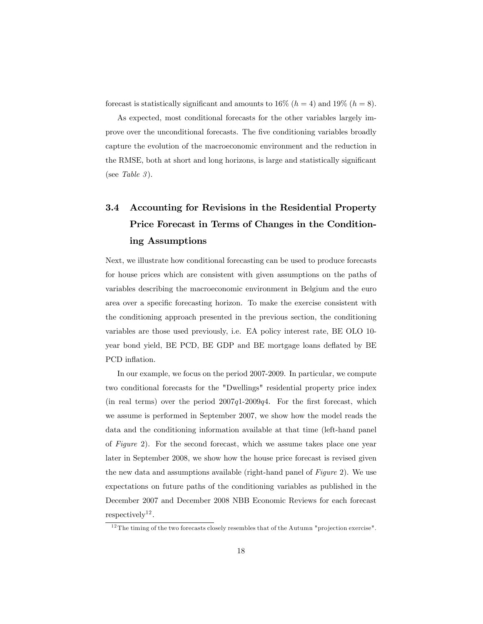forecast is statistically significant and amounts to 16% ( $h = 4$ ) and 19% ( $h = 8$ ).

As expected, most conditional forecasts for the other variables largely improve over the unconditional forecasts. The Öve conditioning variables broadly capture the evolution of the macroeconomic environment and the reduction in the RMSE, both at short and long horizons, is large and statistically significant (see Table 3).

# 3.4 Accounting for Revisions in the Residential Property Price Forecast in Terms of Changes in the Conditioning Assumptions

Next, we illustrate how conditional forecasting can be used to produce forecasts for house prices which are consistent with given assumptions on the paths of variables describing the macroeconomic environment in Belgium and the euro area over a specific forecasting horizon. To make the exercise consistent with the conditioning approach presented in the previous section, the conditioning variables are those used previously, i.e. EA policy interest rate, BE OLO 10 year bond yield, BE PCD, BE GDP and BE mortgage loans deáated by BE PCD inflation.

In our example, we focus on the period 2007-2009. In particular, we compute two conditional forecasts for the "Dwellings" residential property price index (in real terms) over the period  $2007q1-2009q4$ . For the first forecast, which we assume is performed in September 2007, we show how the model reads the data and the conditioning information available at that time (left-hand panel of Figure 2). For the second forecast, which we assume takes place one year later in September 2008, we show how the house price forecast is revised given the new data and assumptions available (right-hand panel of Figure 2). We use expectations on future paths of the conditioning variables as published in the December 2007 and December 2008 NBB Economic Reviews for each forecast  $respectively<sup>12</sup>.$ 

 $12$  The timing of the two forecasts closely resembles that of the Autumn "projection exercise".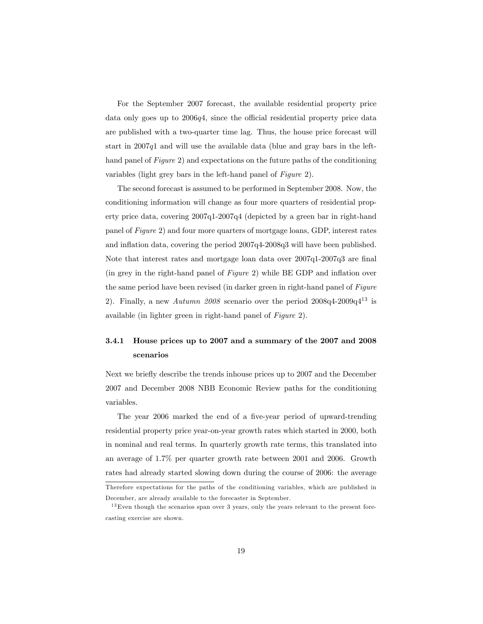For the September 2007 forecast, the available residential property price data only goes up to  $2006q<sub>4</sub>$ , since the official residential property price data are published with a two-quarter time lag. Thus, the house price forecast will start in  $2007q1$  and will use the available data (blue and gray bars in the lefthand panel of *Figure 2*) and expectations on the future paths of the conditioning variables (light grey bars in the left-hand panel of *Figure 2*).

The second forecast is assumed to be performed in September 2008. Now, the conditioning information will change as four more quarters of residential property price data, covering 2007q1-2007q4 (depicted by a green bar in right-hand panel of Figure 2) and four more quarters of mortgage loans, GDP, interest rates and inflation data, covering the period  $2007q4-2008q3$  will have been published. Note that interest rates and mortgage loan data over  $2007q1-2007q3$  are final (in grey in the right-hand panel of  $Figure 2$ ) while BE GDP and inflation over the same period have been revised (in darker green in right-hand panel of Figure 2). Finally, a new Autumn  $2008$  scenario over the period  $2008q^4$ - $2009q^4$ <sup>13</sup> is available (in lighter green in right-hand panel of Figure 2).

# 3.4.1 House prices up to 2007 and a summary of the 2007 and 2008 scenarios

Next we brieáy describe the trends inhouse prices up to 2007 and the December 2007 and December 2008 NBB Economic Review paths for the conditioning variables.

The year 2006 marked the end of a five-year period of upward-trending residential property price year-on-year growth rates which started in 2000, both in nominal and real terms. In quarterly growth rate terms, this translated into an average of 1.7% per quarter growth rate between 2001 and 2006. Growth rates had already started slowing down during the course of 2006: the average Therefore expectations for the paths of the conditioning variables, which are published in December, are already available to the forecaster in September.

 $13$  Even though the scenarios span over 3 years, only the years relevant to the present forecasting exercise are shown.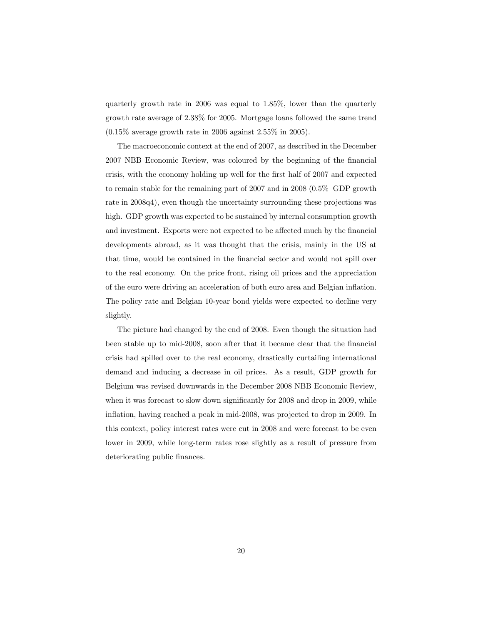quarterly growth rate in 2006 was equal to 1.85%, lower than the quarterly growth rate average of 2.38% for 2005. Mortgage loans followed the same trend  $(0.15\%$  average growth rate in 2006 against 2.55% in 2005).

The macroeconomic context at the end of 2007, as described in the December 2007 NBB Economic Review, was coloured by the beginning of the financial crisis, with the economy holding up well for the first half of 2007 and expected to remain stable for the remaining part of 2007 and in 2008 (0.5% GDP growth rate in 2008q4), even though the uncertainty surrounding these projections was high. GDP growth was expected to be sustained by internal consumption growth and investment. Exports were not expected to be affected much by the financial developments abroad, as it was thought that the crisis, mainly in the US at that time, would be contained in the financial sector and would not spill over to the real economy. On the price front, rising oil prices and the appreciation of the euro were driving an acceleration of both euro area and Belgian ináation. The policy rate and Belgian 10-year bond yields were expected to decline very slightly.

The picture had changed by the end of 2008. Even though the situation had been stable up to mid-2008, soon after that it became clear that the financial crisis had spilled over to the real economy, drastically curtailing international demand and inducing a decrease in oil prices. As a result, GDP growth for Belgium was revised downwards in the December 2008 NBB Economic Review, when it was forecast to slow down significantly for 2008 and drop in 2009, while inflation, having reached a peak in mid-2008, was projected to drop in 2009. In this context, policy interest rates were cut in 2008 and were forecast to be even lower in 2009, while long-term rates rose slightly as a result of pressure from deteriorating public finances.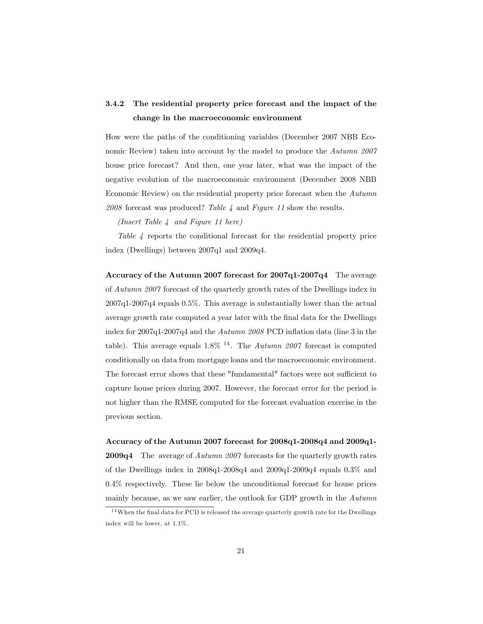# 3.4.2 The residential property price forecast and the impact of the change in the macroeconomic environment

How were the paths of the conditioning variables (December 2007 NBB Economic Review) taken into account by the model to produce the Autumn 2007 house price forecast? And then, one year later, what was the impact of the negative evolution of the macroeconomic environment (December 2008 NBB Economic Review) on the residential property price forecast when the Autumn  $2008$  forecast was produced? Table  $\lambda$  and Figure 11 show the results.

(Insert Table 4 and Figure 11 here)

Table 4 reports the conditional forecast for the residential property price index (Dwellings) between 2007q1 and 2009q4.

Accuracy of the Autumn 2007 forecast for 2007q1-2007q4 The average of Autumn 2007 forecast of the quarterly growth rates of the Dwellings index in 2007q1-2007q4 equals 0.5%. This average is substantially lower than the actual average growth rate computed a year later with the Önal data for the Dwellings index for  $2007q1-2007q4$  and the Autumn 2008 PCD inflation data (line 3 in the table). This average equals  $1.8\%$  <sup>14</sup>. The *Autumn 2007* forecast is computed conditionally on data from mortgage loans and the macroeconomic environment. The forecast error shows that these "fundamental" factors were not sufficient to capture house prices during 2007. However, the forecast error for the period is not higher than the RMSE computed for the forecast evaluation exercise in the previous section.

Accuracy of the Autumn 2007 forecast for 2008q1-2008q4 and 2009q1- 2009q4 The average of Autumn 2007 forecasts for the quarterly growth rates of the Dwellings index in  $2008q1-2008q4$  and  $2009q1-2009q4$  equals  $0.3\%$  and  $0.4\%$  respectively. These lie below the unconditional forecast for house prices mainly because, as we saw earlier, the outlook for GDP growth in the Autumn

 $14$ When the final data for PCD is released the average quarterly growth rate for the Dwellings index will be lower, at 1.1%.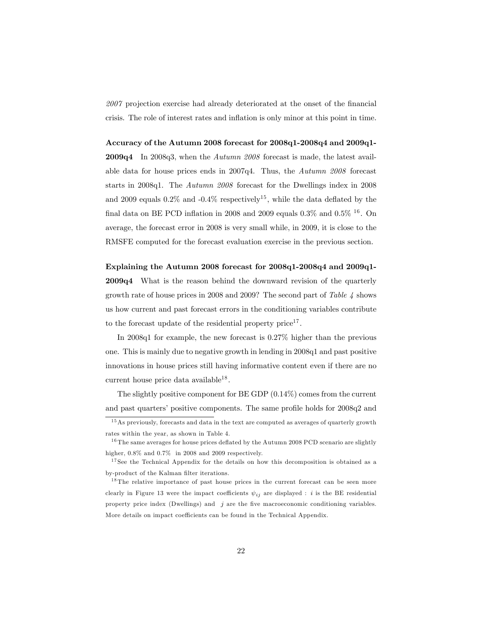2007 projection exercise had already deteriorated at the onset of the financial crisis. The role of interest rates and ináation is only minor at this point in time.

Accuracy of the Autumn 2008 forecast for 2008q1-2008q4 and 2009q1- **2009q4** In 2008q3, when the Autumn 2008 forecast is made, the latest available data for house prices ends in 2007q4. Thus, the Autumn 2008 forecast starts in 2008q1. The Autumn 2008 forecast for the Dwellings index in 2008 and 2009 equals  $0.2\%$  and  $-0.4\%$  respectively<sup>15</sup>, while the data deflated by the final data on BE PCD inflation in 2008 and 2009 equals  $0.3\%$  and  $0.5\%$  <sup>16</sup>. On average, the forecast error in 2008 is very small while, in 2009, it is close to the RMSFE computed for the forecast evaluation exercise in the previous section.

#### Explaining the Autumn 2008 forecast for 2008q1-2008q4 and 2009q1-

2009q4 What is the reason behind the downward revision of the quarterly growth rate of house prices in 2008 and 2009? The second part of Table 4 shows us how current and past forecast errors in the conditioning variables contribute to the forecast update of the residential property price<sup>17</sup>.

In 2008q1 for example, the new forecast is 0.27% higher than the previous one. This is mainly due to negative growth in lending in 2008q1 and past positive innovations in house prices still having informative content even if there are no current house price data available<sup>18</sup>.

The slightly positive component for BE GDP (0.14%) comes from the current and past quarters' positive components. The same profile holds for  $2008q2$  and

 $15$  As previously, forecasts and data in the text are computed as averages of quarterly growth rates within the year, as shown in Table 4.

 $16$  The same averages for house prices deflated by the Autumn 2008 PCD scenario are slightly higher, 0.8% and 0.7% in 2008 and 2009 respectively.

<sup>&</sup>lt;sup>17</sup> See the Technical Appendix for the details on how this decomposition is obtained as a by-product of the Kalman filter iterations.

<sup>&</sup>lt;sup>18</sup> The relative importance of past house prices in the current forecast can be seen more clearly in Figure 13 were the impact coefficients  $\psi_{ij}$  are displayed : i is the BE residential property price index (Dwellings) and  $j$  are the five macroeconomic conditioning variables. More details on impact coefficients can be found in the Technical Appendix.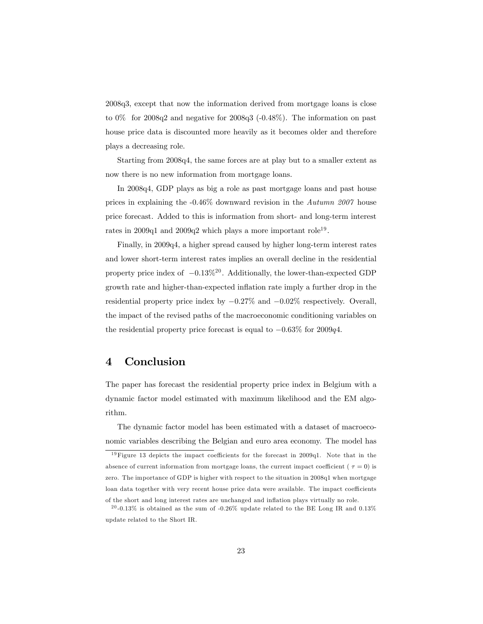2008q3, except that now the information derived from mortgage loans is close to 0% for 2008q2 and negative for 2008q3 (-0.48%). The information on past house price data is discounted more heavily as it becomes older and therefore plays a decreasing role.

Starting from 2008q4, the same forces are at play but to a smaller extent as now there is no new information from mortgage loans.

In 2008q4, GDP plays as big a role as past mortgage loans and past house prices in explaining the -0.46% downward revision in the Autumn 2007 house price forecast. Added to this is information from short- and long-term interest rates in 2009q1 and 2009q2 which plays a more important role<sup>19</sup>.

Finally, in 2009q4, a higher spread caused by higher long-term interest rates and lower short-term interest rates implies an overall decline in the residential property price index of  $-0.13\%^{20}$ . Additionally, the lower-than-expected GDP growth rate and higher-than-expected inflation rate imply a further drop in the residential property price index by  $-0.27\%$  and  $-0.02\%$  respectively. Overall, the impact of the revised paths of the macroeconomic conditioning variables on the residential property price forecast is equal to  $-0.63\%$  for 2009q4.

# 4 Conclusion

The paper has forecast the residential property price index in Belgium with a dynamic factor model estimated with maximum likelihood and the EM algorithm.

The dynamic factor model has been estimated with a dataset of macroeconomic variables describing the Belgian and euro area economy. The model has

 $19$  Figure 13 depicts the impact coefficients for the forecast in 2009q1. Note that in the absence of current information from mortgage loans, the current impact coefficient ( $\tau = 0$ ) is zero. The importance of GDP is higher with respect to the situation in 2008q1 when mortgage loan data together with very recent house price data were available. The impact coefficients of the short and long interest rates are unchanged and ináation plays virtually no role.

<sup>&</sup>lt;sup>20</sup>-0.13% is obtained as the sum of -0.26% update related to the BE Long IR and 0.13% update related to the Short IR.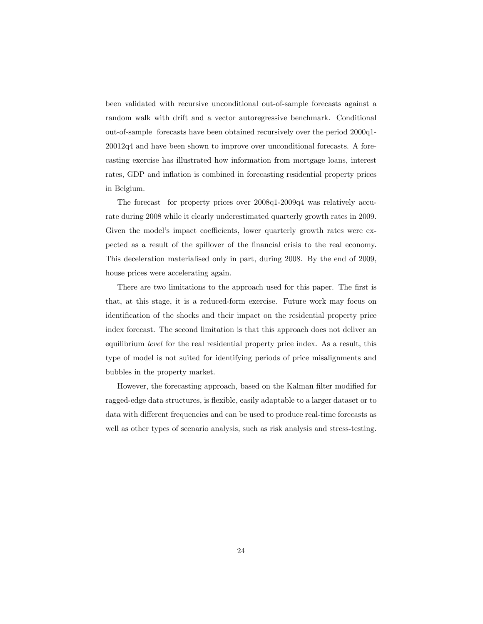been validated with recursive unconditional out-of-sample forecasts against a random walk with drift and a vector autoregressive benchmark. Conditional out-of-sample forecasts have been obtained recursively over the period 2000q1- 20012q4 and have been shown to improve over unconditional forecasts. A forecasting exercise has illustrated how information from mortgage loans, interest rates, GDP and inflation is combined in forecasting residential property prices in Belgium.

The forecast for property prices over 2008q1-2009q4 was relatively accurate during 2008 while it clearly underestimated quarterly growth rates in 2009. Given the model's impact coefficients, lower quarterly growth rates were expected as a result of the spillover of the Önancial crisis to the real economy. This deceleration materialised only in part, during 2008. By the end of 2009, house prices were accelerating again.

There are two limitations to the approach used for this paper. The first is that, at this stage, it is a reduced-form exercise. Future work may focus on identification of the shocks and their impact on the residential property price index forecast. The second limitation is that this approach does not deliver an equilibrium level for the real residential property price index. As a result, this type of model is not suited for identifying periods of price misalignments and bubbles in the property market.

However, the forecasting approach, based on the Kalman filter modified for ragged-edge data structures, is flexible, easily adaptable to a larger dataset or to data with different frequencies and can be used to produce real-time forecasts as well as other types of scenario analysis, such as risk analysis and stress-testing.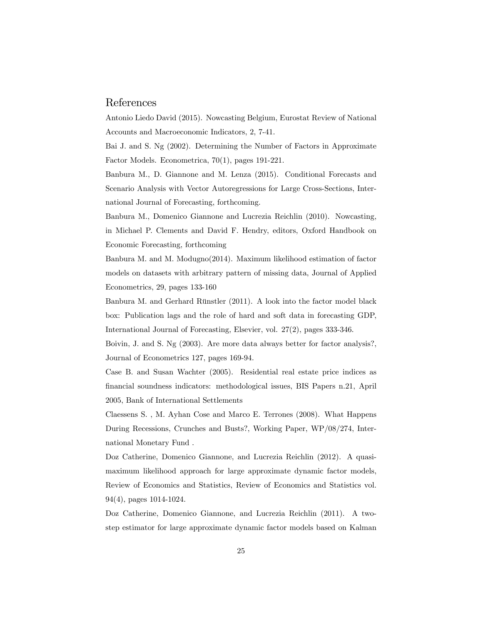## References

Antonio Liedo David (2015). Nowcasting Belgium, Eurostat Review of National Accounts and Macroeconomic Indicators, 2, 7-41.

Bai J. and S. Ng (2002). Determining the Number of Factors in Approximate Factor Models. Econometrica, 70(1), pages 191-221.

Banbura M., D. Giannone and M. Lenza (2015). Conditional Forecasts and Scenario Analysis with Vector Autoregressions for Large Cross-Sections, International Journal of Forecasting, forthcoming.

Banbura M., Domenico Giannone and Lucrezia Reichlin (2010). Nowcasting, in Michael P. Clements and David F. Hendry, editors, Oxford Handbook on Economic Forecasting, forthcoming

Banbura M. and M. Modugno(2014). Maximum likelihood estimation of factor models on datasets with arbitrary pattern of missing data, Journal of Applied Econometrics, 29, pages 133-160

Banbura M. and Gerhard Rünstler (2011). A look into the factor model black box: Publication lags and the role of hard and soft data in forecasting GDP, International Journal of Forecasting, Elsevier, vol. 27(2), pages 333-346.

Boivin, J. and S. Ng (2003). Are more data always better for factor analysis?, Journal of Econometrics 127, pages 169-94.

Case B. and Susan Wachter (2005). Residential real estate price indices as Önancial soundness indicators: methodological issues, BIS Papers n.21, April 2005, Bank of International Settlements

Claessens S. , M. Ayhan Cose and Marco E. Terrones (2008). What Happens During Recessions, Crunches and Busts?, Working Paper, WP/08/274, International Monetary Fund .

Doz Catherine, Domenico Giannone, and Lucrezia Reichlin (2012). A quasimaximum likelihood approach for large approximate dynamic factor models, Review of Economics and Statistics, Review of Economics and Statistics vol. 94(4), pages 1014-1024.

Doz Catherine, Domenico Giannone, and Lucrezia Reichlin (2011). A twostep estimator for large approximate dynamic factor models based on Kalman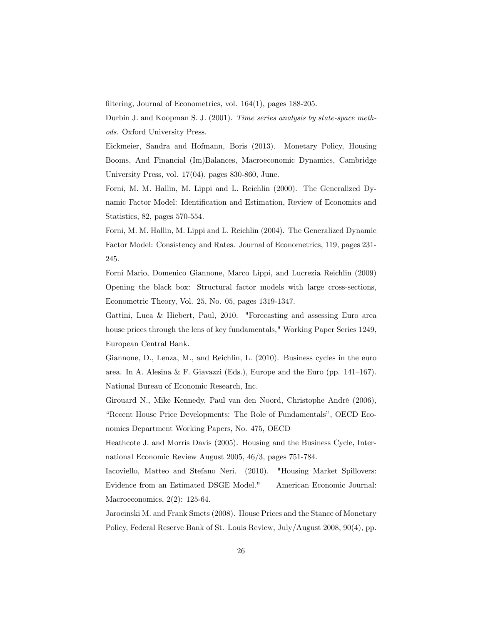filtering, Journal of Econometrics, vol.  $164(1)$ , pages 188-205.

Durbin J. and Koopman S. J. (2001). Time series analysis by state-space methods. Oxford University Press.

Eickmeier, Sandra and Hofmann, Boris (2013). Monetary Policy, Housing Booms, And Financial (Im)Balances, Macroeconomic Dynamics, Cambridge University Press, vol. 17(04), pages 830-860, June.

Forni, M. M. Hallin, M. Lippi and L. Reichlin (2000). The Generalized Dynamic Factor Model: Identification and Estimation, Review of Economics and Statistics, 82, pages 570-554.

Forni, M. M. Hallin, M. Lippi and L. Reichlin (2004). The Generalized Dynamic Factor Model: Consistency and Rates. Journal of Econometrics, 119, pages 231- 245.

Forni Mario, Domenico Giannone, Marco Lippi, and Lucrezia Reichlin (2009) Opening the black box: Structural factor models with large cross-sections, Econometric Theory, Vol. 25, No. 05, pages 1319-1347.

Gattini, Luca & Hiebert, Paul, 2010. "Forecasting and assessing Euro area house prices through the lens of key fundamentals," Working Paper Series 1249, European Central Bank.

Giannone, D., Lenza, M., and Reichlin, L. (2010). Business cycles in the euro area. In A. Alesina & F. Giavazzi (Eds.), Europe and the Euro (pp.  $141-167$ ). National Bureau of Economic Research, Inc.

Girouard N., Mike Kennedy, Paul van den Noord, Christophe André (2006), "Recent House Price Developments: The Role of Fundamentals", OECD Economics Department Working Papers, No. 475, OECD

Heathcote J. and Morris Davis (2005). Housing and the Business Cycle, International Economic Review August 2005, 46/3, pages 751-784.

Iacoviello, Matteo and Stefano Neri. (2010). "Housing Market Spillovers: Evidence from an Estimated DSGE Model." American Economic Journal: Macroeconomics, 2(2): 125-64.

Jarocinski M. and Frank Smets (2008). House Prices and the Stance of Monetary Policy, Federal Reserve Bank of St. Louis Review, July/August 2008, 90(4), pp.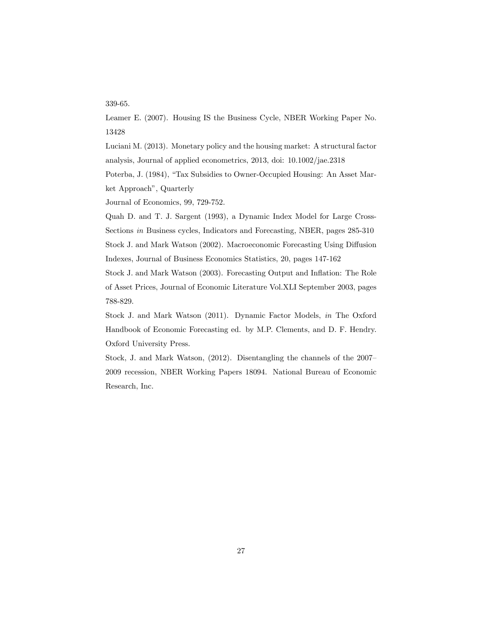#### 339-65.

Leamer E. (2007). Housing IS the Business Cycle, NBER Working Paper No. 13428

Luciani M. (2013). Monetary policy and the housing market: A structural factor analysis, Journal of applied econometrics, 2013, doi: 10.1002/jae.2318

Poterba, J. (1984), "Tax Subsidies to Owner-Occupied Housing: An Asset Market Approach", Quarterly

Journal of Economics, 99, 729-752.

Quah D. and T. J. Sargent (1993), a Dynamic Index Model for Large Cross-Sections in Business cycles, Indicators and Forecasting, NBER, pages 285-310 Stock J. and Mark Watson (2002). Macroeconomic Forecasting Using Diffusion Indexes, Journal of Business Economics Statistics, 20, pages 147-162

Stock J. and Mark Watson (2003). Forecasting Output and Inflation: The Role of Asset Prices, Journal of Economic Literature Vol.XLI September 2003, pages 788-829.

Stock J. and Mark Watson (2011). Dynamic Factor Models, in The Oxford Handbook of Economic Forecasting ed. by M.P. Clements, and D. F. Hendry. Oxford University Press.

Stock, J. and Mark Watson,  $(2012)$ . Disentangling the channels of the  $2007$ 2009 recession, NBER Working Papers 18094. National Bureau of Economic Research, Inc.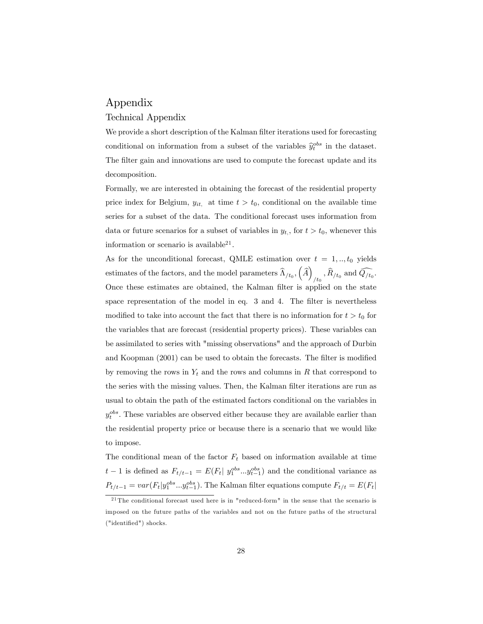# Appendix

#### Technical Appendix

We provide a short description of the Kalman filter iterations used for forecasting conditional on information from a subset of the variables  $\hat{y}^{obs}_{t}$  in the dataset. The filter gain and innovations are used to compute the forecast update and its decomposition.

Formally, we are interested in obtaining the forecast of the residential property price index for Belgium,  $y_{it}$ , at time  $t > t_0$ , conditional on the available time series for a subset of the data. The conditional forecast uses information from data or future scenarios for a subset of variables in  $y_{t}$ , for  $t > t_0$ , whenever this information or scenario is available $^{21}$ .

As for the unconditional forecast, QMLE estimation over  $t = 1, ..., t_0$  yields estimates of the factors, and the model parameters  $\widehat{\Lambda}_{/t_0}, \left(\widehat{A}\right)$  $_{/t_0}$  ,  $R_{/t_0}$  and  $Q_{/t_0}$ . Once these estimates are obtained, the Kalman filter is applied on the state space representation of the model in eq. 3 and 4. The filter is nevertheless modified to take into account the fact that there is no information for  $t > t_0$  for the variables that are forecast (residential property prices). These variables can be assimilated to series with "missing observations" and the approach of Durbin and Koopman  $(2001)$  can be used to obtain the forecasts. The filter is modified by removing the rows in  $Y_t$  and the rows and columns in R that correspond to the series with the missing values. Then, the Kalman filter iterations are run as usual to obtain the path of the estimated factors conditional on the variables in  $y_t^{obs}$ . These variables are observed either because they are available earlier than the residential property price or because there is a scenario that we would like to impose.

The conditional mean of the factor  $F_t$  based on information available at time  $t-1$  is defined as  $F_{t/t-1} = E(F_t | y_1^{obs} ... y_{t-1}^{obs})$  and the conditional variance as  $P_{t/t-1} = var(F_t|y_1^{obs}...y_{t-1}^{obs})$ . The Kalman filter equations compute  $F_{t/t} = E(F_t|$ 

 $^{21}$ The conditional forecast used here is in "reduced-form" in the sense that the scenario is imposed on the future paths of the variables and not on the future paths of the structural ("identified") shocks.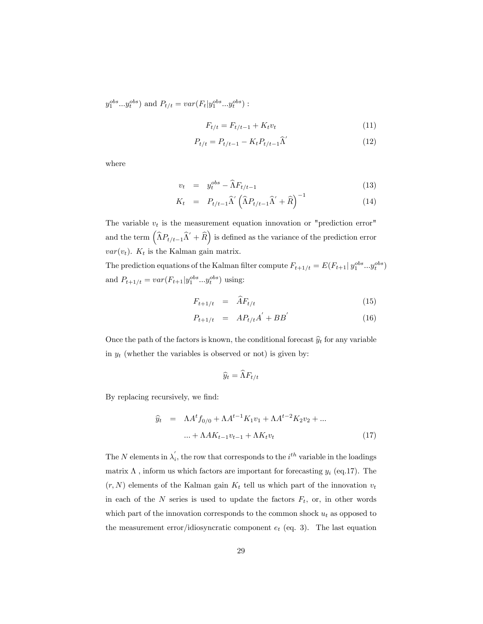$y_1^{obs}...y_t^{obs}$  and  $P_{t/t} = var(F_t|y_1^{obs}...y_t^{obs})$ :

$$
F_{t/t} = F_{t/t-1} + K_t v_t \tag{11}
$$

$$
P_{t/t} = P_{t/t-1} - K_t P_{t/t-1} \hat{\Lambda}' \tag{12}
$$

where

$$
v_t = y_t^{obs} - \widehat{\Lambda} F_{t/t-1} \tag{13}
$$

$$
K_t = P_{t/t-1} \widehat{\Lambda}' \left( \widehat{\Lambda} P_{t/t-1} \widehat{\Lambda}' + \widehat{R} \right)^{-1} \tag{14}
$$

The variable  $v_t$  is the measurement equation innovation or "prediction error" and the term  $(\widehat{\Lambda}P_{t/t-1}\widehat{\Lambda}'+\widehat{R}\big)$  is defined as the variance of the prediction error  $var(v_t)$ .  $K_t$  is the Kalman gain matrix.

The prediction equations of the Kalman filter compute  $F_{t+1/t} = E(F_{t+1} | y_1^{obs} ... y_t^{obs})$ and  $P_{t+1/t} = var(F_{t+1}|y_1^{obs}...y_t^{obs})$  using:

$$
F_{t+1/t} = \widehat{A}F_{t/t} \tag{15}
$$

$$
P_{t+1/t} = AP_{t/t}A^{'} + BB^{'} \tag{16}
$$

Once the path of the factors is known, the conditional forecast  $\hat{y}_t$  for any variable in  $y_t$  (whether the variables is observed or not) is given by:

$$
\widehat{y}_t = \widehat{\Lambda} F_{t/t}
$$

By replacing recursively, we find:

$$
\hat{y}_t = \Lambda A^t f_{0/0} + \Lambda A^{t-1} K_1 v_1 + \Lambda A^{t-2} K_2 v_2 + \dots
$$
  
 
$$
\dots + \Lambda A K_{t-1} v_{t-1} + \Lambda K_t v_t \tag{17}
$$

The N elements in  $\lambda_i$ , the row that corresponds to the  $i^{th}$  variable in the loadings matrix  $\Lambda$ , inform us which factors are important for forecasting  $y_i$  (eq.17). The  $(r, N)$  elements of the Kalman gain  $K_t$  tell us which part of the innovation  $v_t$ in each of the  $N$  series is used to update the factors  $F_t$ , or, in other words which part of the innovation corresponds to the common shock  $u_t$  as opposed to the measurement error/idiosyncratic component  $e_t$  (eq. 3). The last equation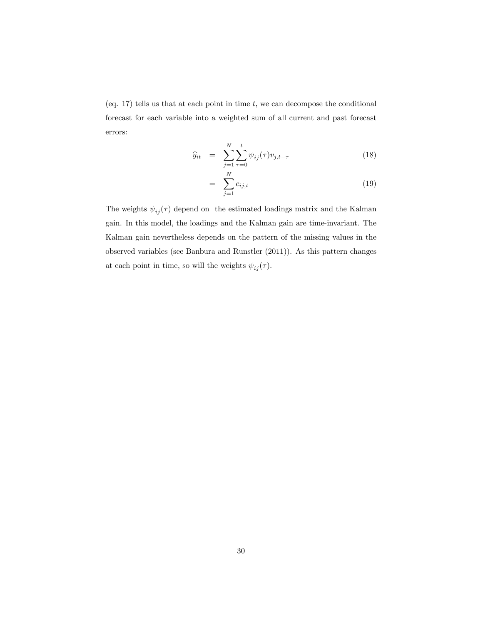(eq. 17) tells us that at each point in time  $t$ , we can decompose the conditional forecast for each variable into a weighted sum of all current and past forecast errors:

$$
\widehat{y}_{it} = \sum_{j=1}^{N} \sum_{\tau=0}^{t} \psi_{ij}(\tau) v_{j,t-\tau}
$$
\n(18)

$$
= \sum_{j=1}^{N} c_{ij,t} \tag{19}
$$

The weights  $\psi_{ij} (\tau)$  depend on the estimated loadings matrix and the Kalman gain. In this model, the loadings and the Kalman gain are time-invariant. The Kalman gain nevertheless depends on the pattern of the missing values in the observed variables (see Banbura and Runstler (2011)). As this pattern changes at each point in time, so will the weights  $\psi_{ij} (\tau).$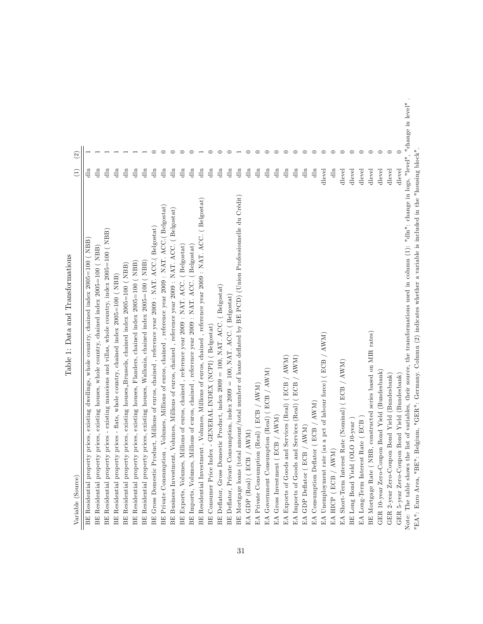| Variable (Source)                                                                                                                                       | $\left(1\right)$ | $\widehat{c}$ |  |
|---------------------------------------------------------------------------------------------------------------------------------------------------------|------------------|---------------|--|
| BE Residential property prices, existing dwellings, whole country, chained index $2005=100$ ( NBB)                                                      | 틥                |               |  |
| BE Residential property prices, existing houses, whole country, chained index 2005=100 (NBB)                                                            | $\frac{1}{2}$    |               |  |
| BE Residential property prices - existing mansions and villas, whole country, index $2005=100$ (NBB)                                                    | $\frac{1}{2}$    |               |  |
| BE Residential property prices - flats, whole country, chained index 2005=100 (NBB)                                                                     | $\frac{1}{2}$    |               |  |
| BE Residential property prices, existing houses, Brussels, chained index 2005=100 (NBB)                                                                 | $\frac{1}{2}$    |               |  |
| BE Residential property prices, existing houses, Flanders, chained index 2005=100 ( NBB)                                                                | $\frac{1}{2}$    |               |  |
| BE Residential property prices, existing houses, Wallonia, chained index 2005=100 (NBB)                                                                 | $\dim$           |               |  |
| BE Gross Domestic Product, Millions of euros, chained, reference year 2009 : NAT. ACC.( Belgostat)                                                      | $\dim$           |               |  |
| , Volumes, Millions of euros, chained, reference year 2009 : NAT. ACC. (Belgostat)<br>BE Private Consumption                                            | $\dim$           |               |  |
| Volumes, Millions of euros, chained, reference year 2009 : NAT. ACC. (Belgostat)<br>BE Business Investment,                                             | $\frac{1}{2}$    |               |  |
| BE Exports, Volumes, Millions of euros, chained, reference year 2009 : NAT. ACC. (Belgostat)                                                            | $\dim$           |               |  |
| BE Imports, Volumes, Millions of euros, chained, reference year 2009 : NAT. ACC. (Belgostat)                                                            | $\frac{1}{2}$    |               |  |
| BE Residential Investment, Volumes, Millions of euros, chained, reference year 2009 : NAT. ACC. (Belgostat)                                             | $\dim$           |               |  |
| -GENERAL INDEX (NCPI) (Belgostat)<br>BE Consumer Price Index                                                                                            | $\frac{1}{2}$    |               |  |
| BE Deflator, Gross Domestic Product, index 2009 = 100, NAT. ACC. ( Belgostat)                                                                           | $\frac{1}{10}$   |               |  |
| BE Deflator, Private Consumption, index 2009 = 100, NAT. ACC. (Belgostat)                                                                               | $\frac{1}{10}$   |               |  |
| amount/total number of loans deflated by BE PCD) (Union Professionnelle du Crédit)<br>BE Mortgage loans (total                                          | $\dim$           |               |  |
| $\operatorname{AWM}$<br>EA GDP (Real) ( $EGB$ /                                                                                                         | $\frac{1}{2}$    |               |  |
| $(\mathrm{Real})$ ( $\mathrm{ECB}$ / $\mathrm{AWM})$<br>EA Private Consumption                                                                          | $\frac{1}{10}$   |               |  |
| EA Government Consumption (Real) (ECB / AWM)                                                                                                            | $\frac{1}{2}$    |               |  |
| EA Gross Investment ( $BCB / AWM$ )                                                                                                                     | $\dim$           |               |  |
| Services (Real) (ECB / AWM)<br>EA Exports of Goods and                                                                                                  | $\frac{1}{2}$    |               |  |
| Services (Real) (ECB / AWM)<br>EA Imports of Goods and                                                                                                  | $\frac{1}{2}$    |               |  |
| / AWM<br>EA GDP Deflator (ECB                                                                                                                           | $\frac{1}{2}$    |               |  |
| / AWM)<br>EA Consumption Deflator (ECB,                                                                                                                 | $\dim$           |               |  |
| EA Unemployment rate (as a pct of labour force) (ECB / AWM)                                                                                             | dlevel           |               |  |
| EA HICP (ECB / $\text{AWM}$ )                                                                                                                           | $\frac{1}{2}$    |               |  |
| EA Short-Term Interest Rate (Nominal) (ECB / AWM)                                                                                                       | dlevel           |               |  |
| BE Long Bond Yield (OLO 10-year                                                                                                                         | dlevel           | ⊂             |  |
| EA Long-Term Interest Rate (ECB                                                                                                                         | dlevel           | ⊂             |  |
| , constructed series based on MIR rates)<br>BE Mortgage Rate (NBB                                                                                       | dlevel           |               |  |
| GER 10-year Zero-Coupon Bond Yield (Bundesbank)                                                                                                         | dlevel           |               |  |
| GER 2-year Zero-Coupon Bond Yield (Bundesbank)                                                                                                          | dlevel           |               |  |
| Bond Yield (Bundesbank)<br>GER 5-year Zero-Coupon                                                                                                       | dlevel           |               |  |
| Note: The table shows the list of variables, their source, the transformations used in column $(1)$ : "dln": change in logs, "level", "change in level" |                  |               |  |
| "EA": Euro Area, "BE": Belgium, "GER": Germany. Column (2) indicates whether a variable is included in the "housing block"                              |                  |               |  |

Table 1: Data and Transformations Table 1: Data and Transformations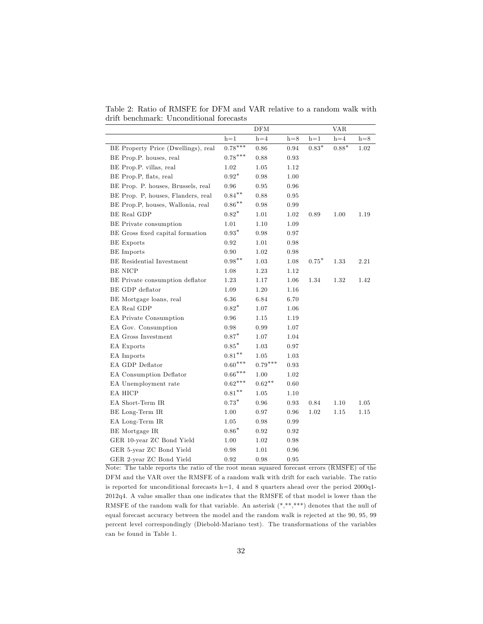Table 2: Ratio of RMSFE for DFM and VAR relative to a random walk with drift benchmark: Unconditional forecasts

|                                     |                | DFM                |       |               | <b>VAR</b>  |       |
|-------------------------------------|----------------|--------------------|-------|---------------|-------------|-------|
|                                     | $h=1$          | $\mathrm{h}\!=\!4$ | $h=8$ | $h = 1$       | $h = 4$     | $h=8$ |
| BE Property Price (Dwellings), real | $0.78***$      | 0.86               | 0.94  | $0.83^{\ast}$ | $0.88^\ast$ | 1.02  |
| BE Prop.P. houses, real             | $0.78***$      | 0.88               | 0.93  |               |             |       |
| BE Prop.P. villas, real             | 1.02           | 1.05               | 1.12  |               |             |       |
| BE Prop.P, flats, real              | $0.92*$        | 0.98               | 1.00  |               |             |       |
| BE Prop. P. houses, Brussels, real  | 0.96           | 0.95               | 0.96  |               |             |       |
| BE Prop. P, houses, Flanders, real  | $0.84***$      | 0.88               | 0.95  |               |             |       |
| BE Prop.P, houses, Wallonia, real   | $0.86**$       | 0.98               | 0.99  |               |             |       |
| BE Real GDP                         | $0.82*$        | 1.01               | 1.02  | 0.89          | 1.00        | 1.19  |
| BE Private consumption              | 1.01           | 1.10               | 1.09  |               |             |       |
| BE Gross fixed capital formation    | $0.93*$        | 0.98               | 0.97  |               |             |       |
| <b>BE</b> Exports                   | $\rm 0.92$     | 1.01               | 0.98  |               |             |       |
| <b>BE</b> Imports                   | 0.90           | 1.02               | 0.98  |               |             |       |
| BE Residential Investment           | $0.98**$       | 1.03               | 1.08  | $0.75*$       | 1.33        | 2.21  |
| BE NICP                             | 1.08           | 1.23               | 1.12  |               |             |       |
| BE Private consumption deflator     | 1.23           | 1.17               | 1.06  | 1.34          | 1.32        | 1.42  |
| BE GDP deflator                     | 1.09           | 1.20               | 1.16  |               |             |       |
| BE Mortgage loans, real             | 6.36           | 6.84               | 6.70  |               |             |       |
| EA Real GDP                         | $0.82*$        | 1.07               | 1.06  |               |             |       |
| <b>EA Private Consumption</b>       | 0.96           | 1.15               | 1.19  |               |             |       |
| EA Gov. Consumption                 | 0.98           | 0.99               | 1.07  |               |             |       |
| EA Gross Investment                 | $0.87*$        | 1.07               | 1.04  |               |             |       |
| EA Exports                          | $0.85*$        | 1.03               | 0.97  |               |             |       |
| EA Imports                          | $0.81***$      | 1.05               | 1.03  |               |             |       |
| EA GDP Deflator                     | $0.60***$      | $0.79***$          | 0.93  |               |             |       |
| <b>EA Consumption Deflator</b>      | $0.66^{***}\,$ | 1.00               | 1.02  |               |             |       |
| EA Unemployment rate                | $0.62***$      | $0.62**$           | 0.60  |               |             |       |
| EA HICP                             | $0.81**$       | $1.05\,$           | 1.10  |               |             |       |
| EA Short-Term IR                    | $0.73*$        | 0.96               | 0.93  | 0.84          | 1.10        | 1.05  |
| BE Long-Term IR                     | 1.00           | 0.97               | 0.96  | 1.02          | 1.15        | 1.15  |
| EA Long-Term IR                     | 1.05           | 0.98               | 0.99  |               |             |       |
| BE Mortgage IR                      | $0.86^\ast$    | 0.92               | 0.92  |               |             |       |
| GER 10-year ZC Bond Yield           | 1.00           | 1.02               | 0.98  |               |             |       |
| GER 5-year ZC Bond Yield            | 0.98           | 1.01               | 0.96  |               |             |       |
| GER 2-year ZC Bond Yield            | 0.92           | 0.98               | 0.95  |               |             |       |

Note: The table reports the ratio of the root mean squared forecast errors (RMSFE) of the DFM and the VAR over the RMSFE of a random walk with drift for each variable. The ratio is reported for unconditional forecasts h=1, 4 and 8 quarters ahead over the period  $2000q1$ -2012q4. A value smaller than one indicates that the RMSFE of that model is lower than the RMSFE of the random walk for that variable. An asterisk  $(*, **, ***)$  denotes that the null of equal forecast accuracy between the model and the random walk is rejected at the 90, 95, 99 percent level correspondingly (Diebold-Mariano test). The transformations of the variables can be found in Table 1.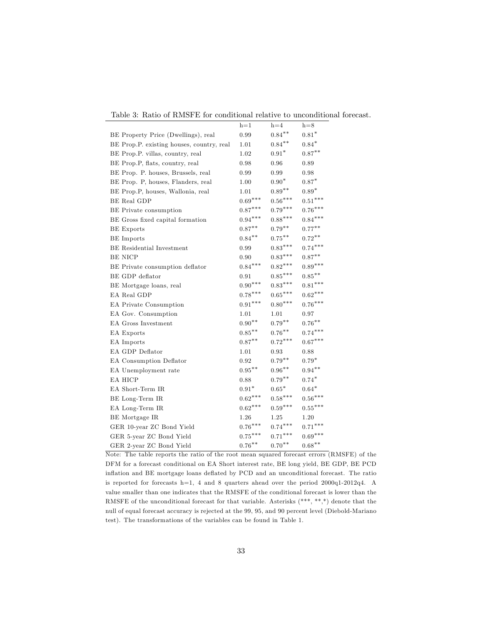|                                           | $h=1$             | $h=4$             | $h=8$     |
|-------------------------------------------|-------------------|-------------------|-----------|
| BE Property Price (Dwellings), real       | 0.99              | $0.84***$         | $0.81*$   |
| BE Prop.P. existing houses, country, real | 1.01              | $0.84***$         | $0.84*$   |
| BE Prop.P. villas, country, real          | 1.02              | $0.91*$           | $0.87***$ |
| BE Prop.P, flats, country, real           | 0.98              | 0.96              | 0.89      |
| BE Prop. P. houses, Brussels, real        | 0.99              | 0.99              | 0.98      |
| BE Prop. P, houses, Flanders, real        | 1.00              | $0.90^\ast$       | $0.87*$   |
| BE Prop.P, houses, Wallonia, real         | 1.01              | $0.89**$          | $0.89*$   |
| <b>BE Real GDP</b>                        | $0.69***$         | $0.56***$         | $0.51***$ |
| BE Private consumption                    | $0.87***$         | $0.79***$         | $0.76***$ |
| BE Gross fixed capital formation          | $0.94***$         | $0.88***$         | $0.84***$ |
| <b>BE</b> Exports                         | $0.87***$         | $0.79^{\ast\ast}$ | $0.77***$ |
| <b>BE</b> Imports                         | $0.84***$         | $0.75***$         | $0.72***$ |
| BE Residential Investment                 | 0.99              | $0.83***$         | $0.74***$ |
| <b>BE NICP</b>                            | 0.90              | $0.83***$         | $0.87**$  |
| BE Private consumption deflator           | $0.84***$         | $0.82***$         | $0.89***$ |
| BE GDP deflator                           | 0.91              | $0.85***$         | $0.85***$ |
| BE Mortgage loans, real                   | $0.90***$         | $0.83***$         | $0.81***$ |
| EA Real GDP                               | $0.78***$         | $0.65***$         | $0.62***$ |
| EA Private Consumption                    | $0.91***$         | $0.80***$         | $0.76***$ |
| EA Gov. Consumption                       | 1.01              | 1.01              | 0.97      |
| <b>EA Gross Investment</b>                | $0.90***$         | $0.79^{\ast\ast}$ | $0.76***$ |
| EA Exports                                | $0.85^{\ast\ast}$ | $0.76***$         | $0.74***$ |
| EA Imports                                | $0.87**$          | $0.72***$         | $0.67***$ |
| EA GDP Deflator                           | 1.01              | 0.93              | 0.88      |
| EA Consumption Deflator                   | 0.92              | $0.79***$         | $0.79*$   |
| EA Unemployment rate                      | $0.95***$         | $0.96^{\ast\ast}$ | $0.94***$ |
| EA HICP                                   | 0.88              | $0.79^{\ast\ast}$ | $0.74*$   |
| EA Short-Term IR                          | $0.91^{\ast}$     | $0.65^{\ast}$     | $0.64*$   |
| BE Long-Term IR                           | $0.62***$         | $0.58***$         | $0.56***$ |
| EA Long-Term IR                           | $0.62***$         | $0.59***$         | $0.55***$ |
| BE Mortgage IR                            | 1.26              | $1.25\,$          | 1.20      |
| GER 10-year ZC Bond Yield                 | $0.76***$         | $0.74***$         | $0.71***$ |
| GER 5-year ZC Bond Yield                  | $0.75***$         | $0.71***$         | $0.69***$ |
| GER 2-year ZC Bond Yield                  | $0.76***$         | $0.70***$         | $0.68***$ |

Table 3: Ratio of RMSFE for conditional relative to unconditional forecast.

Note: The table reports the ratio of the root mean squared forecast errors (RMSFE) of the DFM for a forecast conditional on EA Short interest rate, BE long yield, BE GDP, BE PCD inflation and BE mortgage loans deflated by PCD and an unconditional forecast. The ratio is reported for forecasts h=1, 4 and 8 quarters ahead over the period 2000q1-2012q4. A value smaller than one indicates that the RMSFE of the conditional forecast is lower than the RMSFE of the unconditional forecast for that variable. Asterisks  $(***, **, *)$  denote that the null of equal forecast accuracy is rejected at the 99, 95, and 90 percent level (Diebold-Mariano test). The transformations of the variables can be found in Table 1.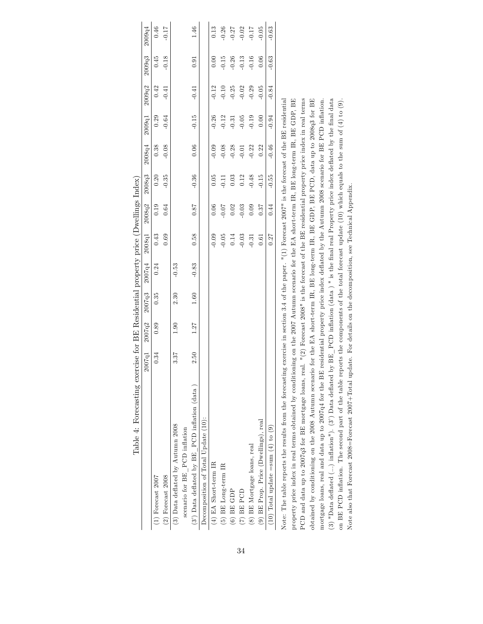| Table 4: Forecasting exercise for BE Residential property price (Dwellings Index)                                                                          |        |        |        |         |         |         |         |         |         |         |         |         |
|------------------------------------------------------------------------------------------------------------------------------------------------------------|--------|--------|--------|---------|---------|---------|---------|---------|---------|---------|---------|---------|
|                                                                                                                                                            | 2007q1 | 2007q2 | 2007q3 | 2007q4  | 2008q1  | 2008q2  | 2008q3  | 2008q4  | 2009q1  | 2009q2  | 2009q3  | 2009q4  |
| $(1)$ Forecast $2007$                                                                                                                                      | 0.34   | 0.89   | 0.35   | 0.24    | 0.43    | 0.19    | 0.20    | 0.38    | 0.29    | 0.42    | 0.45    | 0.46    |
| $(2)$ Forecast $2008$                                                                                                                                      |        |        |        |         | 0.69    | 0.64    | $-0.35$ | $-0.08$ | $-0.64$ | $-0.41$ | $-0.18$ | $-0.17$ |
| (3) Data deflated by Autumn 2008                                                                                                                           | 3.37   | 1.90   | 2.30   | $-0.53$ |         |         |         |         |         |         |         |         |
| scenario for BE_PCD inflation                                                                                                                              |        |        |        |         |         |         |         |         |         |         |         |         |
| $(3)$ Data deflated by BE PCD inflation (data)                                                                                                             | 2.50   | 1.27   | 1.60   | $-0.83$ | 0.58    | 18.0    | $-0.36$ | 0.06    | $-0.15$ | $-0.41$ | 0.91    | 1.46    |
| Decomposition of Total Update (10):                                                                                                                        |        |        |        |         |         |         |         |         |         |         |         |         |
| $(4)$ EA Short-term IR                                                                                                                                     |        |        |        |         | $-0.09$ | 0.06    | 0.05    | $-0.09$ | $-0.26$ | $-0.12$ | 0.00    | 0.13    |
| $(5)$ BE Long-term IR                                                                                                                                      |        |        |        |         | $-0.05$ | $-0.07$ | $-0.11$ | $-0.08$ | $-0.12$ | $-0.10$ | $-0.15$ | $-0.26$ |
| $(6)$ BE GDP                                                                                                                                               |        |        |        |         | 0.14    | 0.02    | 0.03    | $-0.28$ | $-0.31$ | $-0.25$ | $-0.26$ | 0.27    |
| $(7)$ BE $PCD$                                                                                                                                             |        |        |        |         | $-0.03$ | $-0.03$ | 0.12    | $-0.01$ | $-0.05$ | $-0.02$ | $-0.13$ | 0.02    |
| (8) BE Mortgage loans, real                                                                                                                                |        |        |        |         | $-0.31$ | 0.09    | $-0.48$ | $-0.22$ | $-0.19$ | $-0.29$ | $-0.16$ | $-0.17$ |
| (9) BE Prop. Price (Dwellings), real                                                                                                                       |        |        |        |         | 0.61    | 0.37    | $-0.15$ | 0.22    | 0.00    | $-0.05$ | 0.06    | 0.05    |
| (10) Total update = sum $(4)$ to $(9)$                                                                                                                     |        |        |        |         | 0.27    | 0.44    | $-0.55$ | $-0.46$ | $-0.94$ | $-0.84$ | $-0.63$ | $-0.63$ |
| Note: The table reports the results from the forecasting exercise in section 3.4 of the paper. $"(1)$ Forecast 2007" is the forecast of the BE residential |        |        |        |         |         |         |         |         |         |         |         |         |
| property price index in real terms obtained by conditioning on the 2007 Autumn scenario for the EA short-term IR, BE long-term IR, BE GDP, BE              |        |        |        |         |         |         |         |         |         |         |         |         |
| PCD and data up to 2007q3 for BE mortgage loans, real. $"$ (2) Forecast 2008" is the forecast of the BE residential property price index in real terms     |        |        |        |         |         |         |         |         |         |         |         |         |
| obtained by conditioning on the 2008 Autumn scenario for the EA short-term IR, BE long-term IR, BE GDP, BE PCD, data up to 2008q3 for BE                   |        |        |        |         |         |         |         |         |         |         |         |         |
| mortgage loans, real and data up to 2007q4 for the BE residential property price index deflated by the Autumn 2008 scenario for BE PCD inflation           |        |        |        |         |         |         |         |         |         |         |         |         |

(3) "Data deflated (...) inflation"). (3) Data deflated by  $BE\_PCD$  inflation (data) " is the final real Property price index deflated by the final data on BE PCD ináation. The second part of the table reports the components of the total forecast update (10) which equals to the sum of (4) to (9).

(3) "Data deflated (...) inflation"). (3') Data deflated by  $BE$  PCD inflation (data) " is the final real Property price index deflated by the final data on BE PCD inflation. The second part of the table reports the compon

Note also that Forecast 2008=Forecast 2007+Total update. For details on the decomposition, see Technical Appendix.

Note also that Forecast 2008=Forecast 2007+Total update. For details on the decomposition, see Technical Appendix.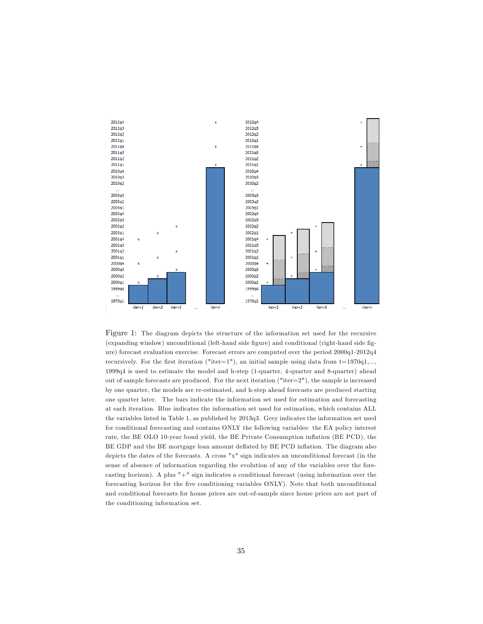

Figure 1: The diagram depicts the structure of the information set used for the recursive (expanding window) unconditional (left-hand side figure) and conditional (right-hand side figure) forecast evaluation exercise. Forecast errors are computed over the period 2000q1-2012q4 recursively. For the first iteration ("iter=1"), an initial sample using data from  $t=1970q1,...$ , 1999q4 is used to estimate the model and h-step (1-quarter, 4-quarter and 8-quarter) ahead out of sample forecasts are produced. For the next iteration ("iter= $2"$ ), the sample is increased by one quarter, the models are re-estimated, and h-step ahead forecasts are produced starting one quarter later. The bars indicate the information set used for estimation and forecasting at each iteration. Blue indicates the information set used for estimation, which contains ALL the variables listed in Table 1, as published by 2013q3. Grey indicates the information set used for conditional forecasting and contains ONLY the following variables: the EA policy interest rate, the BE OLO 10-year bond yield, the BE Private Consumption ináation (BE PCD), the BE GDP and the BE mortgage loan amount deflated by BE PCD inflation. The diagram also depicts the dates of the forecasts. A cross "x" sign indicates an unconditional forecast (in the sense of absence of information regarding the evolution of any of the variables over the forecasting horizon). A plus "+" sign indicates a conditional forecast (using information over the forecasting horizon for the Öve conditioning variables ONLY). Note that both unconditional and conditional forecasts for house prices are out-of-sample since house prices are not part of the conditioning information set.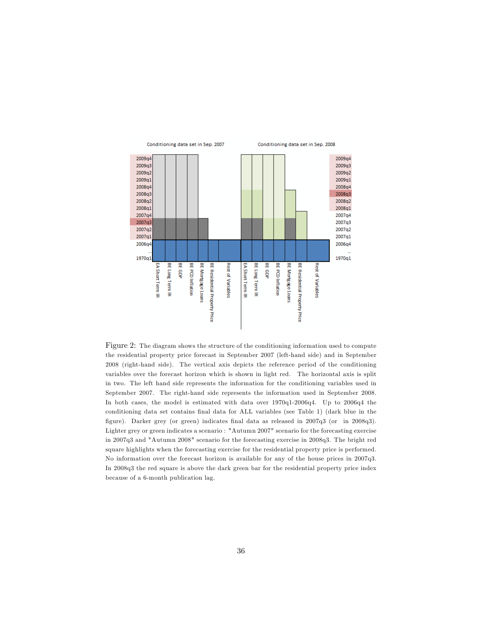

Figure 2: The diagram shows the structure of the conditioning information used to compute the residential property price forecast in September 2007 (left-hand side) and in September 2008 (right-hand side). The vertical axis depicts the reference period of the conditioning variables over the forecast horizon which is shown in light red. The horizontal axis is split in two. The left hand side represents the information for the conditioning variables used in September 2007. The right-hand side represents the information used in September 2008. In both cases, the model is estimated with data over 1970q1-2006q4. Up to 2006q4 the conditioning data set contains final data for ALL variables (see Table 1) (dark blue in the figure). Darker grey (or green) indicates final data as released in 2007q3 (or in 2008q3). Lighter grey or green indicates a scenario : "Autumn 2007" scenario for the forecasting exercise in 2007q3 and "Autumn 2008" scenario for the forecasting exercise in 2008q3. The bright red square highlights when the forecasting exercise for the residential property price is performed. No information over the forecast horizon is available for any of the house prices in 2007q3. In 2008q3 the red square is above the dark green bar for the residential property price index because of a 6-month publication lag.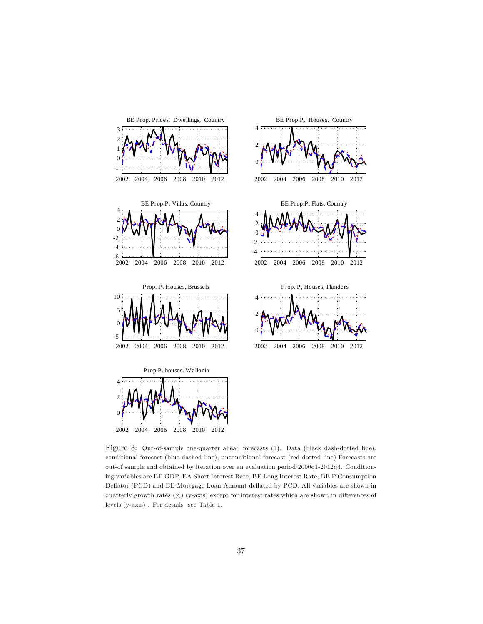

Figure 3: Out-of-sample one-quarter ahead forecasts (1). Data (black dash-dotted line), conditional forecast (blue dashed line), unconditional forecast (red dotted line) Forecasts are out-of sample and obtained by iteration over an evaluation period 2000q1-2012q4. Conditioning variables are BE GDP, EA Short Interest Rate, BE Long Interest Rate, BE P.Consumption Deflator (PCD) and BE Mortgage Loan Amount deflated by PCD. All variables are shown in quarterly growth rates  $(\%)$  (y-axis) except for interest rates which are shown in differences of levels (y-axis) . For details see Table 1.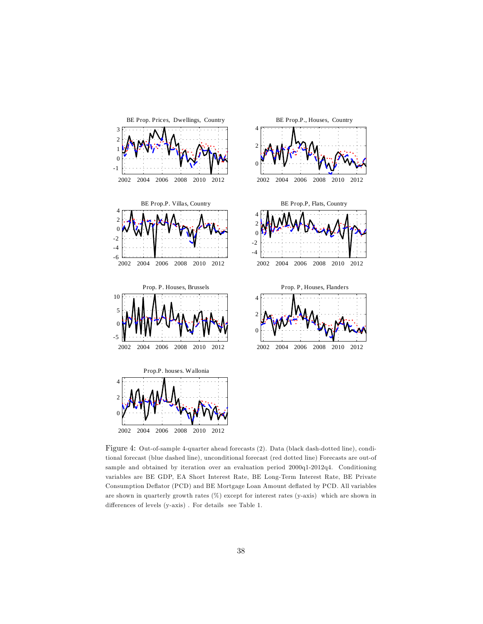

Figure 4: Out-of-sample 4-quarter ahead forecasts (2). Data (black dash-dotted line), conditional forecast (blue dashed line), unconditional forecast (red dotted line) Forecasts are out-of sample and obtained by iteration over an evaluation period 2000q1-2012q4. Conditioning variables are BE GDP, EA Short Interest Rate, BE Long-Term Interest Rate, BE Private Consumption Deáator (PCD) and BE Mortgage Loan Amount deáated by PCD. All variables are shown in quarterly growth rates (%) except for interest rates (y-axis) which are shown in differences of levels (y-axis). For details see Table 1.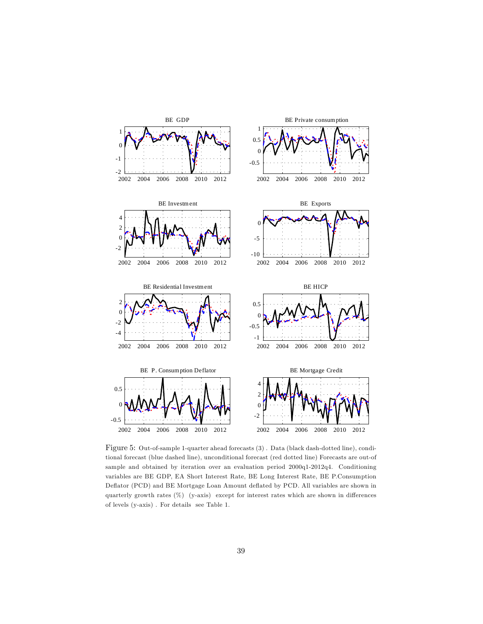

Figure 5: Out-of-sample 1-quarter ahead forecasts (3) . Data (black dash-dotted line), conditional forecast (blue dashed line), unconditional forecast (red dotted line) Forecasts are out-of sample and obtained by iteration over an evaluation period 2000q1-2012q4. Conditioning variables are BE GDP, EA Short Interest Rate, BE Long Interest Rate, BE P.Consumption Deflator (PCD) and BE Mortgage Loan Amount deflated by PCD. All variables are shown in quarterly growth rates  $(\%)$  (y-axis) except for interest rates which are shown in differences of levels (y-axis) . For details see Table 1.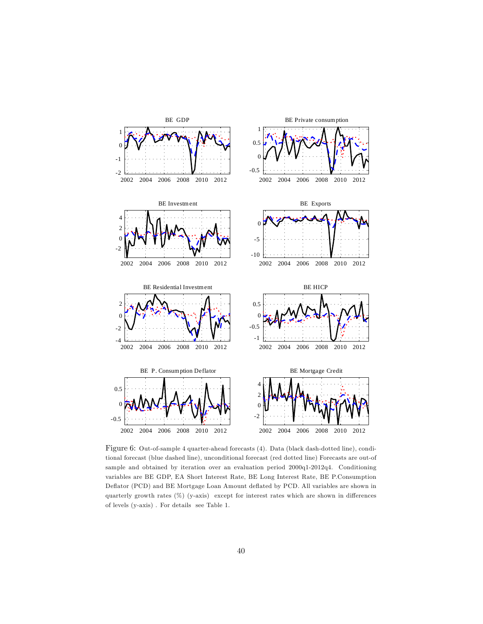

Figure 6: Out-of-sample 4 quarter-ahead forecasts (4). Data (black dash-dotted line), conditional forecast (blue dashed line), unconditional forecast (red dotted line) Forecasts are out-of sample and obtained by iteration over an evaluation period 2000q1-2012q4. Conditioning variables are BE GDP, EA Short Interest Rate, BE Long Interest Rate, BE P.Consumption Deflator (PCD) and BE Mortgage Loan Amount deflated by PCD. All variables are shown in quarterly growth rates  $(\%)$  (y-axis) except for interest rates which are shown in differences of levels (y-axis) . For details see Table 1.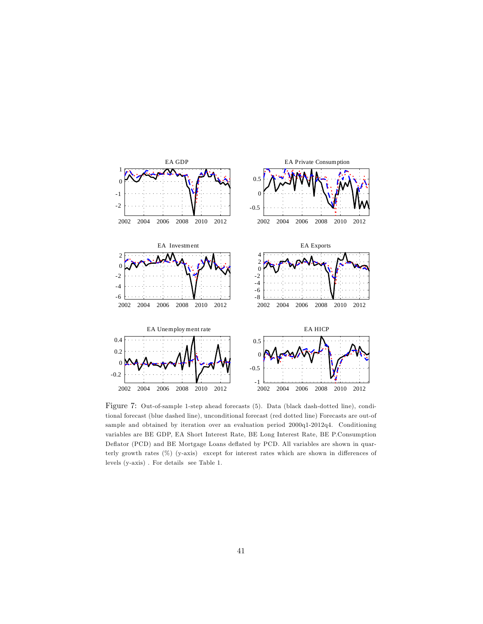

Figure 7: Out-of-sample 1-step ahead forecasts (5). Data (black dash-dotted line), conditional forecast (blue dashed line), unconditional forecast (red dotted line) Forecasts are out-of sample and obtained by iteration over an evaluation period 2000q1-2012q4. Conditioning variables are BE GDP, EA Short Interest Rate, BE Long Interest Rate, BE P.Consumption Deflator (PCD) and BE Mortgage Loans deflated by PCD. All variables are shown in quarterly growth rates  $(\%)$  (y-axis) except for interest rates which are shown in differences of levels (y-axis) . For details see Table 1.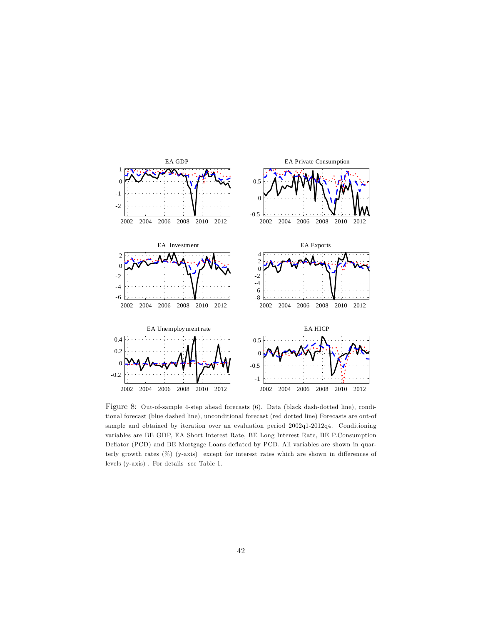

Figure 8: Out-of-sample 4-step ahead forecasts (6). Data (black dash-dotted line), conditional forecast (blue dashed line), unconditional forecast (red dotted line) Forecasts are out-of sample and obtained by iteration over an evaluation period 2002q1-2012q4. Conditioning variables are BE GDP, EA Short Interest Rate, BE Long Interest Rate, BE P.Consumption Deflator (PCD) and BE Mortgage Loans deflated by PCD. All variables are shown in quarterly growth rates  $(\%)$  (y-axis) except for interest rates which are shown in differences of levels (y-axis) . For details see Table 1.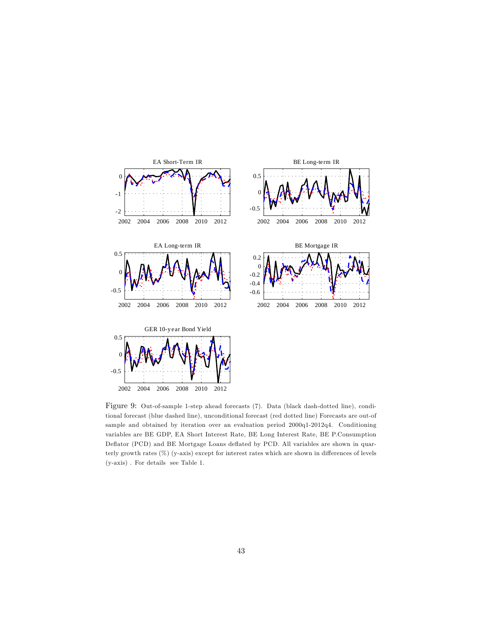

Figure 9: Out-of-sample 1-step ahead forecasts (7). Data (black dash-dotted line), conditional forecast (blue dashed line), unconditional forecast (red dotted line) Forecasts are out-of sample and obtained by iteration over an evaluation period 2000q1-2012q4. Conditioning variables are BE GDP, EA Short Interest Rate, BE Long Interest Rate, BE P.Consumption Deflator (PCD) and BE Mortgage Loans deflated by PCD. All variables are shown in quarterly growth rates  $(\%)$  (y-axis) except for interest rates which are shown in differences of levels (y-axis) . For details see Table 1.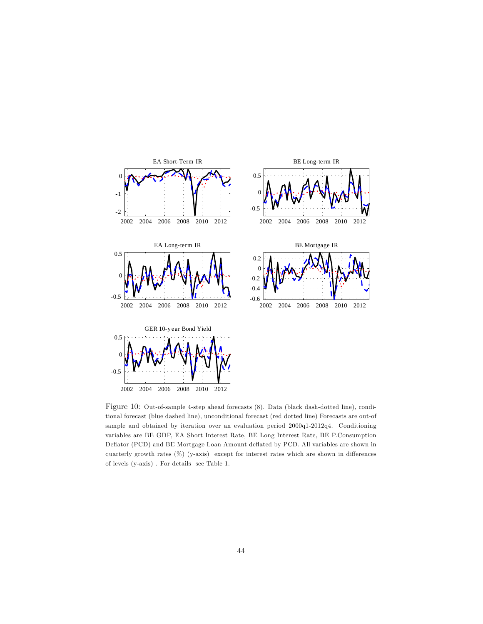

Figure 10: Out-of-sample 4-step ahead forecasts (8). Data (black dash-dotted line), conditional forecast (blue dashed line), unconditional forecast (red dotted line) Forecasts are out-of sample and obtained by iteration over an evaluation period 2000q1-2012q4. Conditioning variables are BE GDP, EA Short Interest Rate, BE Long Interest Rate, BE P.Consumption Deflator (PCD) and BE Mortgage Loan Amount deflated by PCD. All variables are shown in quarterly growth rates  $(\%)$  (y-axis) except for interest rates which are shown in differences of levels (y-axis) . For details see Table 1.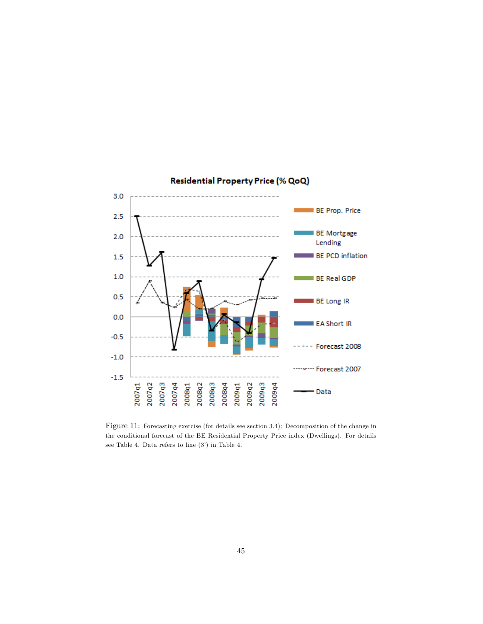

# Residential Property Price (% QoQ)

Figure 11: Forecasting exercise (for details see section 3.4): Decomposition of the change in the conditional forecast of the BE Residential Property Price index (Dwellings). For details see Table 4. Data refers to line  $(3')$  in Table 4.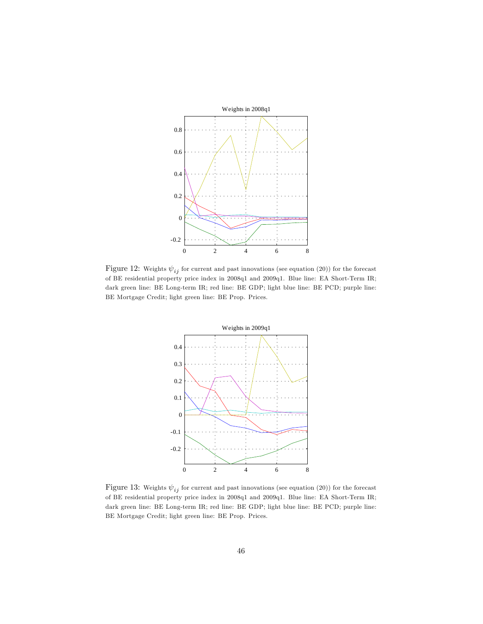

Figure 12: Weights  $\psi_{ij}$  for current and past innovations (see equation (20)) for the forecast of BE residential property price index in 2008q1 and 2009q1. Blue line: EA Short-Term IR; dark green line: BE Long-term IR; red line: BE GDP; light blue line: BE PCD; purple line: BE Mortgage Credit; light green line: BE Prop. Prices.



Figure 13: Weights  $\psi_{ij}$  for current and past innovations (see equation (20)) for the forecast of BE residential property price index in 2008q1 and 2009q1. Blue line: EA Short-Term IR; dark green line: BE Long-term IR; red line: BE GDP; light blue line: BE PCD; purple line: BE Mortgage Credit; light green line: BE Prop. Prices.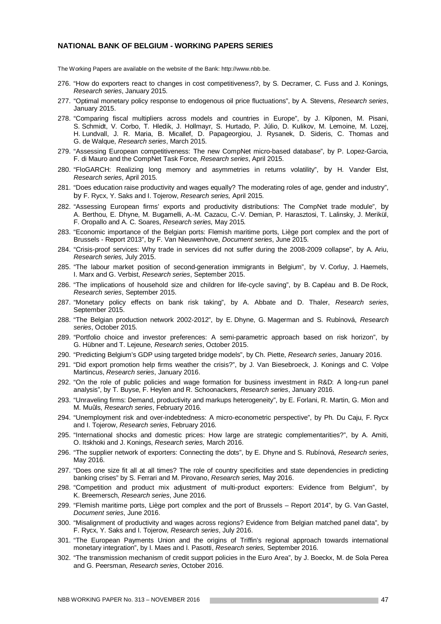#### **NATIONAL BANK OF BELGIUM - WORKING PAPERS SERIES**

The Working Papers are available on the website of the Bank: http://www.nbb.be.

- 276. "How do exporters react to changes in cost competitiveness?, by S. Decramer, C. Fuss and J. Konings, *Research series*, January 2015.
- 277. "Optimal monetary policy response to endogenous oil price fluctuations", by A. Stevens, *Research series*, January 2015.
- 278. "Comparing fiscal multipliers across models and countries in Europe", by J. Kilponen, M. Pisani, S. Schmidt, V. Corbo, T. Hledik, J. Hollmayr, S. Hurtado, P. Júlio, D. Kulikov, M. Lemoine, M. Lozej, H. Lundvall, J. R. Maria, B. Micallef, D. Papageorgiou, J. Rysanek, D. Sideris, C. Thomas and G. de Walque, *Research series*, March 2015.
- 279. "Assessing European competitiveness: The new CompNet micro-based database", by P. Lopez-Garcia, F. di Mauro and the CompNet Task Force, *Research series*, April 2015.
- 280. "FloGARCH: Realizing long memory and asymmetries in returns volatility", by H. Vander Elst, *Research series*, April 2015.
- 281. "Does education raise productivity and wages equally? The moderating roles of age, gender and industry", by F. Rycx, Y. Saks and I. Tojerow, *Research series,* April 2015*.*
- 282. "Assessing European firms' exports and productivity distributions: The CompNet trade module", by A. Berthou, E. Dhyne, M. Bugamelli, A.-M. Cazacu, C.-V. Demian, P. Harasztosi, T. Lalinsky, J. Merikül, F. Oropallo and A. C. Soares, *Research series,* May 2015*.*
- 283. "Economic importance of the Belgian ports: Flemish maritime ports, Liège port complex and the port of Brussels - Report 2013", by F. Van Nieuwenhove, *Document series*, June 2015.
- 284. "Crisis-proof services: Why trade in services did not suffer during the 2008-2009 collapse", by A. Ariu, *Research series,* July 2015.
- 285. "The labour market position of second-generation immigrants in Belgium", by V. Corluy, J. Haemels, I. Marx and G. Verbist, *Research series*, September 2015.
- 286. "The implications of household size and children for life-cycle saving", by B. Capéau and B. De Rock, *Research series*, September 2015.
- 287. "Monetary policy effects on bank risk taking", by A. Abbate and D. Thaler, *Research series*, September 2015.
- 288. "The Belgian production network 2002-2012", by E. Dhyne, G. Magerman and S. Rubínová, *Research series*, October 2015.
- 289. "Portfolio choice and investor preferences: A semi-parametric approach based on risk horizon", by G. Hübner and T. Lejeune, *Research series*, October 2015.
- 290. "Predicting Belgium's GDP using targeted bridge models", by Ch. Piette, *Research series*, January 2016.
- 291. "Did export promotion help firms weather the crisis?", by J. Van Biesebroeck, J. Konings and C. Volpe Martincus, *Research series*, January 2016.
- 292. "On the role of public policies and wage formation for business investment in R&D: A long-run panel analysis", by T. Buyse, F. Heylen and R. Schoonackers, *Research series*, January 2016.
- 293. "Unraveling firms: Demand, productivity and markups heterogeneity", by E. Forlani, R. Martin, G. Mion and M. Muûls, *Research series*, February 2016.
- 294. "Unemployment risk and over-indebtedness: A micro-econometric perspective", by Ph. Du Caju, F. Rycx and I. Tojerow, *Research series*, February 2016.
- 295. "International shocks and domestic prices: How large are strategic complementarities?", by A. Amiti, O. Itskhoki and J. Konings, *Research series,* March 2016.
- 296. "The supplier network of exporters: Connecting the dots", by E. Dhyne and S. Rubínová, *Research series*, May 2016.
- 297. "Does one size fit all at all times? The role of country specificities and state dependencies in predicting banking crises" by S. Ferrari and M. Pirovano, *Research series,* May 2016.
- 298. "Competition and product mix adjustment of multi-product exporters: Evidence from Belgium", by K. Breemersch, *Research series*, June 2016.
- 299. "Flemish maritime ports, Liège port complex and the port of Brussels Report 2014", by G. Van Gastel, *Document series*, June 2016.
- 300. "Misalignment of productivity and wages across regions? Evidence from Belgian matched panel data", by F. Rycx, Y. Saks and I. Tojerow, *Research series*, July 2016.
- 301. "The European Payments Union and the origins of Triffin's regional approach towards international monetary integration", by I. Maes and I. Pasotti, *Research series,* September 2016.
- 302. "The transmission mechanism of credit support policies in the Euro Area", by J. Boeckx, M. de Sola Perea and G. Peersman, *Research series*, October 2016.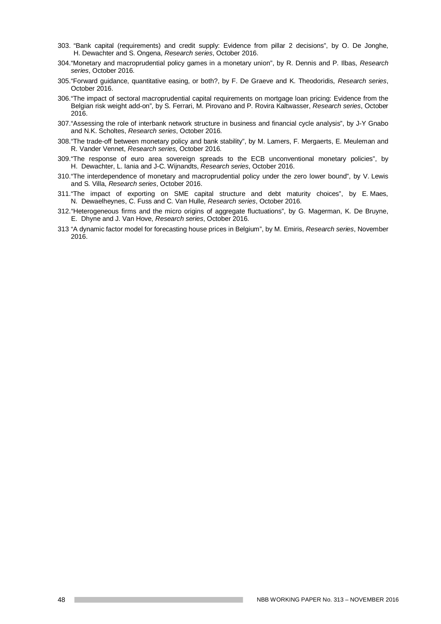- 303. "Bank capital (requirements) and credit supply: Evidence from pillar 2 decisions", by O. De Jonghe, H. Dewachter and S. Ongena, *Research series*, October 2016.
- 304. "Monetary and macroprudential policy games in a monetary union", by R. Dennis and P. Ilbas, *Research series*, October 2016.
- 305. "Forward guidance, quantitative easing, or both?, by F. De Graeve and K. Theodoridis, *Research series*, October 2016.
- 306. "The impact of sectoral macroprudential capital requirements on mortgage loan pricing: Evidence from the Belgian risk weight add-on", by S. Ferrari, M. Pirovano and P. Rovira Kaltwasser, *Research series*, October 2016.
- 307. "Assessing the role of interbank network structure in business and financial cycle analysis", by J-Y Gnabo and N.K. Scholtes, *Research series*, October 2016.
- 308. "The trade-off between monetary policy and bank stability", by M. Lamers, F. Mergaerts, E. Meuleman and R. Vander Vennet, *Research series,* October 2016.
- 309. "The response of euro area sovereign spreads to the ECB unconventional monetary policies", by H. Dewachter, L. Iania and J-C. Wijnandts, *Research series*, October 2016.
- 310. "The interdependence of monetary and macroprudential policy under the zero lower bound", by V. Lewis and S. Villa, *Research series*, October 2016.
- 311. "The impact of exporting on SME capital structure and debt maturity choices", by E. Maes, N. Dewaelheynes, C. Fuss and C. Van Hulle, *Research series*, October 2016.
- 312. "Heterogeneous firms and the micro origins of aggregate fluctuations", by G. Magerman, K. De Bruyne, E. Dhyne and J. Van Hove, *Research series*, October 2016.
- 313 "A dynamic factor model for forecasting house prices in Belgium", by M. Emiris, *Research series*, November 2016.